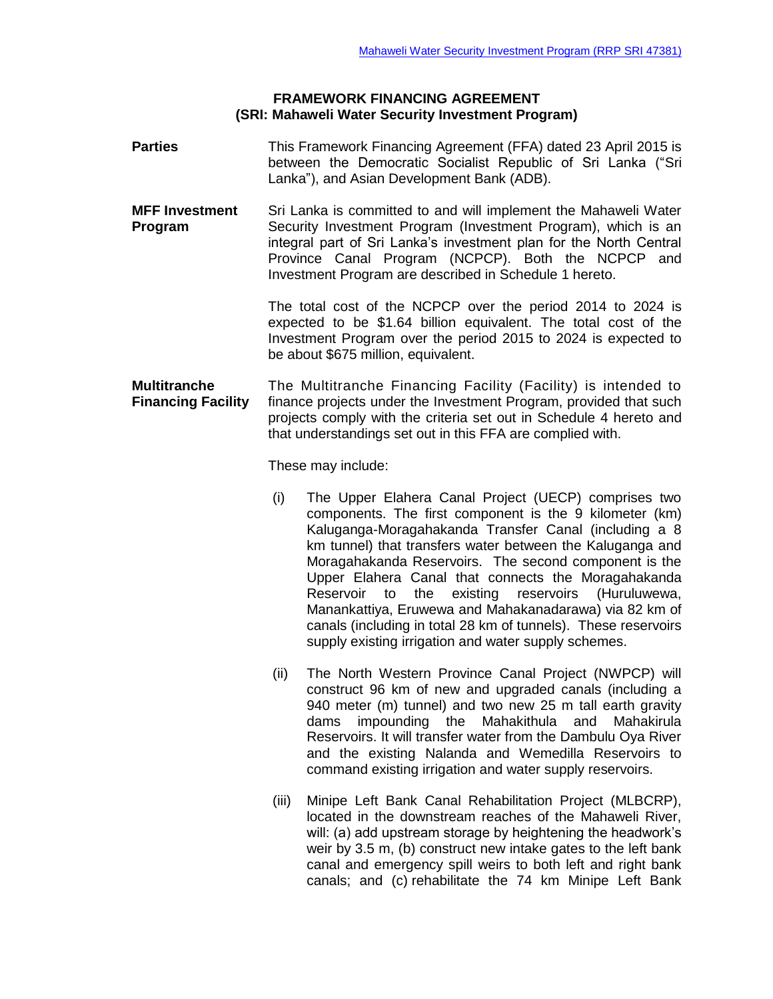### **FRAMEWORK FINANCING AGREEMENT (SRI: Mahaweli Water Security Investment Program)**

- **Parties** This Framework Financing Agreement (FFA) dated 23 April 2015 is between the Democratic Socialist Republic of Sri Lanka ("Sri Lanka"), and Asian Development Bank (ADB).
- **MFF Investment** Sri Lanka is committed to and will implement the Mahaweli Water **Program** Security Investment Program (Investment Program), which is an integral part of Sri Lanka's investment plan for the North Central Province Canal Program (NCPCP). Both the NCPCP and Investment Program are described in Schedule 1 hereto.

The total cost of the NCPCP over the period 2014 to 2024 is expected to be \$1.64 billion equivalent. The total cost of the Investment Program over the period 2015 to 2024 is expected to be about \$675 million, equivalent.

**Multitranche** The Multitranche Financing Facility (Facility) is intended to **Financing Facility** finance projects under the Investment Program, provided that such projects comply with the criteria set out in Schedule 4 hereto and that understandings set out in this FFA are complied with.

These may include:

- (i) The Upper Elahera Canal Project (UECP) comprises two components. The first component is the 9 kilometer (km) Kaluganga-Moragahakanda Transfer Canal (including a 8 km tunnel) that transfers water between the Kaluganga and Moragahakanda Reservoirs. The second component is the Upper Elahera Canal that connects the Moragahakanda Reservoir to the existing reservoirs (Huruluwewa, Manankattiya, Eruwewa and Mahakanadarawa) via 82 km of canals (including in total 28 km of tunnels). These reservoirs supply existing irrigation and water supply schemes.
- (ii) The North Western Province Canal Project (NWPCP) will construct 96 km of new and upgraded canals (including a 940 meter (m) tunnel) and two new 25 m tall earth gravity dams impounding the Mahakithula and Mahakirula Reservoirs. It will transfer water from the Dambulu Oya River and the existing Nalanda and Wemedilla Reservoirs to command existing irrigation and water supply reservoirs.
- (iii) Minipe Left Bank Canal Rehabilitation Project (MLBCRP), located in the downstream reaches of the Mahaweli River, will: (a) add upstream storage by heightening the headwork's weir by 3.5 m, (b) construct new intake gates to the left bank canal and emergency spill weirs to both left and right bank canals; and (c) rehabilitate the 74 km Minipe Left Bank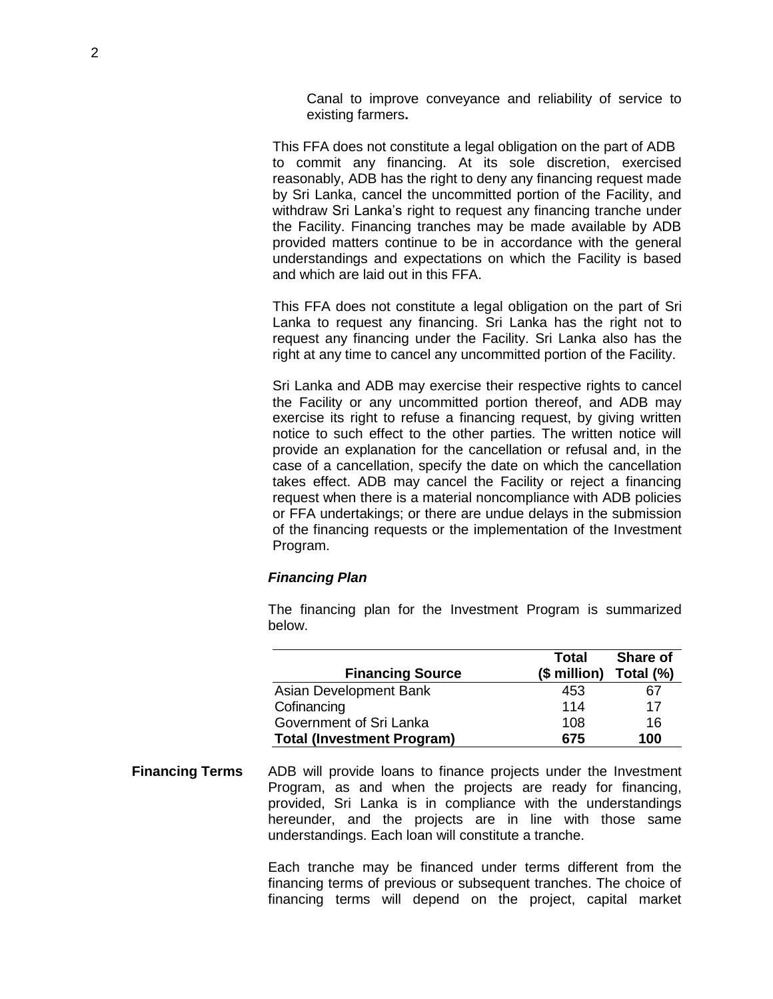Canal to improve conveyance and reliability of service to existing farmers**.**

This FFA does not constitute a legal obligation on the part of ADB to commit any financing. At its sole discretion, exercised reasonably, ADB has the right to deny any financing request made by Sri Lanka, cancel the uncommitted portion of the Facility, and withdraw Sri Lanka's right to request any financing tranche under the Facility. Financing tranches may be made available by ADB provided matters continue to be in accordance with the general understandings and expectations on which the Facility is based and which are laid out in this FFA.

This FFA does not constitute a legal obligation on the part of Sri Lanka to request any financing. Sri Lanka has the right not to request any financing under the Facility. Sri Lanka also has the right at any time to cancel any uncommitted portion of the Facility.

Sri Lanka and ADB may exercise their respective rights to cancel the Facility or any uncommitted portion thereof, and ADB may exercise its right to refuse a financing request, by giving written notice to such effect to the other parties. The written notice will provide an explanation for the cancellation or refusal and, in the case of a cancellation, specify the date on which the cancellation takes effect. ADB may cancel the Facility or reject a financing request when there is a material noncompliance with ADB policies or FFA undertakings; or there are undue delays in the submission of the financing requests or the implementation of the Investment Program.

#### *Financing Plan*

The financing plan for the Investment Program is summarized below.

|                                   | Total        | <b>Share of</b> |
|-----------------------------------|--------------|-----------------|
| <b>Financing Source</b>           | (\$ million) | Total (%)       |
| Asian Development Bank            | 453          | 67              |
| Cofinancing                       | 114          | 17              |
| Government of Sri Lanka           | 108          | 16              |
| <b>Total (Investment Program)</b> | 675          | 100             |

**Financing Terms** ADB will provide loans to finance projects under the Investment Program, as and when the projects are ready for financing, provided, Sri Lanka is in compliance with the understandings hereunder, and the projects are in line with those same understandings. Each loan will constitute a tranche.

> Each tranche may be financed under terms different from the financing terms of previous or subsequent tranches. The choice of financing terms will depend on the project, capital market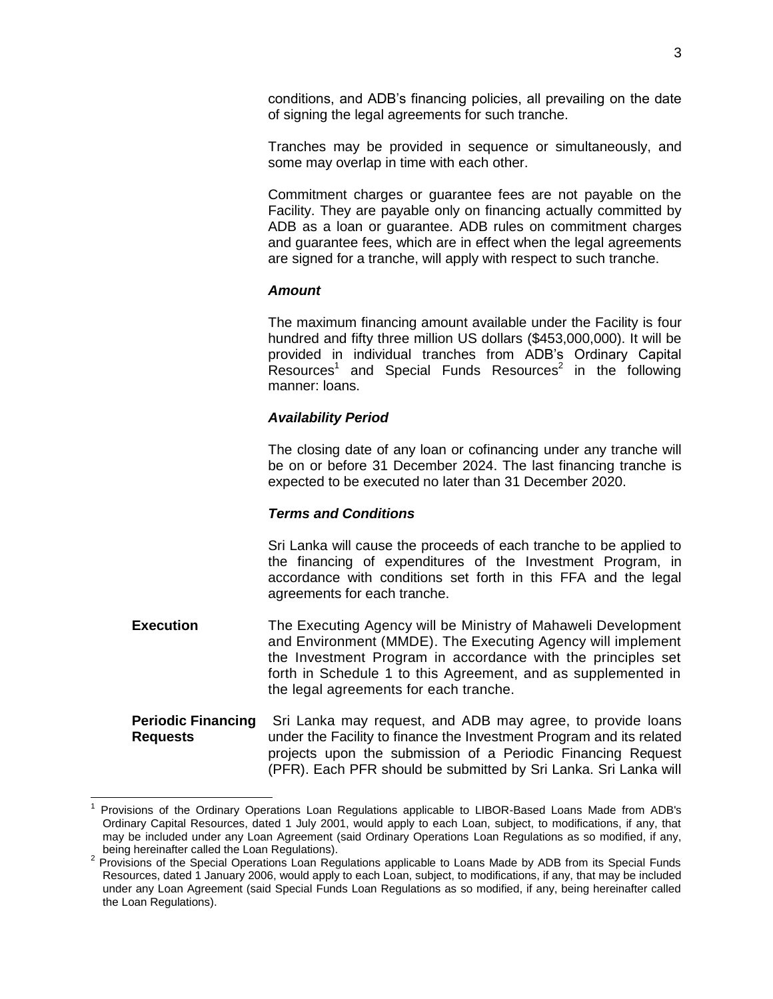conditions, and ADB's financing policies, all prevailing on the date of signing the legal agreements for such tranche.

Tranches may be provided in sequence or simultaneously, and some may overlap in time with each other.

Commitment charges or guarantee fees are not payable on the Facility. They are payable only on financing actually committed by ADB as a loan or guarantee. ADB rules on commitment charges and guarantee fees, which are in effect when the legal agreements are signed for a tranche, will apply with respect to such tranche.

#### *Amount*

The maximum financing amount available under the Facility is four hundred and fifty three million US dollars (\$453,000,000). It will be provided in individual tranches from ADB's Ordinary Capital Resources<sup>1</sup> and Special Funds Resources<sup>2</sup> in the following manner: loans.

### *Availability Period*

The closing date of any loan or cofinancing under any tranche will be on or before 31 December 2024. The last financing tranche is expected to be executed no later than 31 December 2020.

### *Terms and Conditions*

Sri Lanka will cause the proceeds of each tranche to be applied to the financing of expenditures of the Investment Program, in accordance with conditions set forth in this FFA and the legal agreements for each tranche.

- **Execution** The Executing Agency will be Ministry of Mahaweli Development and Environment (MMDE). The Executing Agency will implement the Investment Program in accordance with the principles set forth in Schedule 1 to this Agreement, and as supplemented in the legal agreements for each tranche.
- **Periodic Financing** Sri Lanka may request, and ADB may agree, to provide loans **Requests** under the Facility to finance the Investment Program and its related projects upon the submission of a Periodic Financing Request (PFR). Each PFR should be submitted by Sri Lanka. Sri Lanka will

<sup>1</sup> Provisions of the Ordinary Operations Loan Regulations applicable to LIBOR-Based Loans Made from ADB's Ordinary Capital Resources, dated 1 July 2001, would apply to each Loan, subject, to modifications, if any, that may be included under any Loan Agreement (said Ordinary Operations Loan Regulations as so modified, if any, being hereinafter called the Loan Regulations).

<sup>&</sup>lt;sup>2</sup> Provisions of the Special Operations Loan Regulations applicable to Loans Made by ADB from its Special Funds Resources, dated 1 January 2006, would apply to each Loan, subject, to modifications, if any, that may be included under any Loan Agreement (said Special Funds Loan Regulations as so modified, if any, being hereinafter called the Loan Regulations).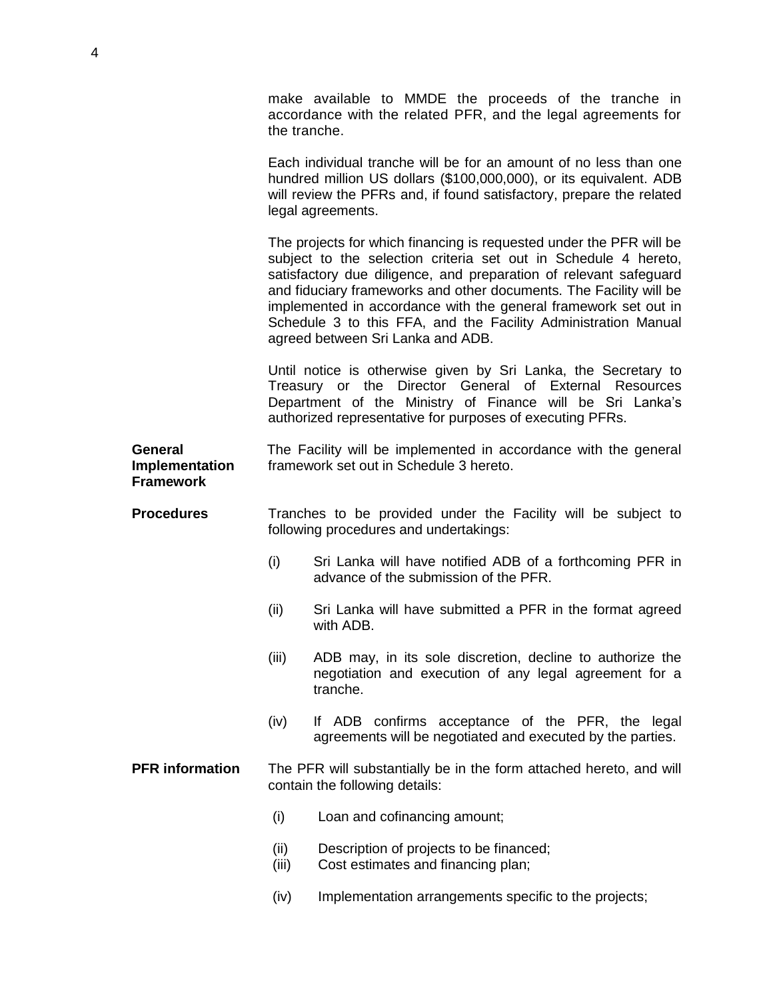make available to MMDE the proceeds of the tranche in accordance with the related PFR, and the legal agreements for the tranche.

Each individual tranche will be for an amount of no less than one hundred million US dollars (\$100,000,000), or its equivalent. ADB will review the PFRs and, if found satisfactory, prepare the related legal agreements.

The projects for which financing is requested under the PFR will be subject to the selection criteria set out in Schedule 4 hereto, satisfactory due diligence, and preparation of relevant safeguard and fiduciary frameworks and other documents. The Facility will be implemented in accordance with the general framework set out in Schedule 3 to this FFA, and the Facility Administration Manual agreed between Sri Lanka and ADB.

Until notice is otherwise given by Sri Lanka, the Secretary to Treasury or the Director General of External Resources Department of the Ministry of Finance will be Sri Lanka's authorized representative for purposes of executing PFRs.

**General** The Facility will be implemented in accordance with the general **Implementation** framework set out in Schedule 3 hereto. **Framework**

**Procedures** Tranches to be provided under the Facility will be subject to following procedures and undertakings:

- (i) Sri Lanka will have notified ADB of a forthcoming PFR in advance of the submission of the PFR.
- (ii) Sri Lanka will have submitted a PFR in the format agreed with ADB.
- (iii) ADB may, in its sole discretion, decline to authorize the negotiation and execution of any legal agreement for a tranche.
- (iv) If ADB confirms acceptance of the PFR, the legal agreements will be negotiated and executed by the parties.

**PFR information** The PFR will substantially be in the form attached hereto, and will contain the following details:

- (i) Loan and cofinancing amount;
- (ii) Description of projects to be financed;
- (iii) Cost estimates and financing plan;
- (iv) Implementation arrangements specific to the projects;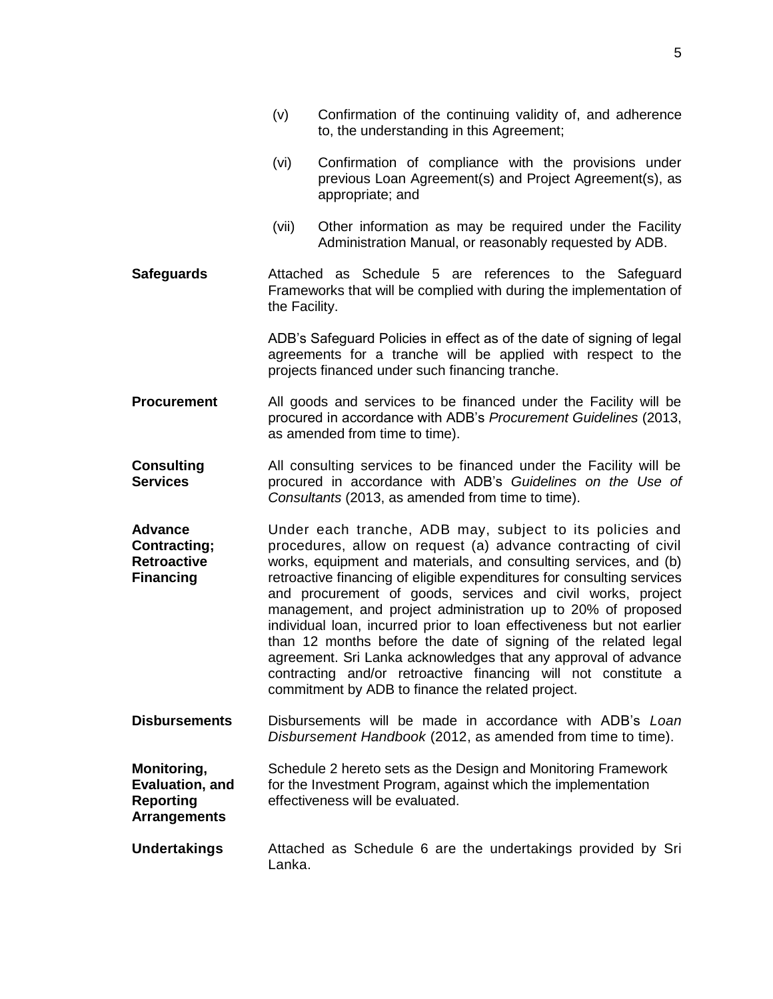|                                                                                 | (v)           | Confirmation of the continuing validity of, and adherence<br>to, the understanding in this Agreement;                                                                                                                                                                                                                                                                                                                                                                                                                                                                                                                                                                                                                                      |
|---------------------------------------------------------------------------------|---------------|--------------------------------------------------------------------------------------------------------------------------------------------------------------------------------------------------------------------------------------------------------------------------------------------------------------------------------------------------------------------------------------------------------------------------------------------------------------------------------------------------------------------------------------------------------------------------------------------------------------------------------------------------------------------------------------------------------------------------------------------|
|                                                                                 | (vi)          | Confirmation of compliance with the provisions under<br>previous Loan Agreement(s) and Project Agreement(s), as<br>appropriate; and                                                                                                                                                                                                                                                                                                                                                                                                                                                                                                                                                                                                        |
|                                                                                 | (vii)         | Other information as may be required under the Facility<br>Administration Manual, or reasonably requested by ADB.                                                                                                                                                                                                                                                                                                                                                                                                                                                                                                                                                                                                                          |
| <b>Safeguards</b>                                                               | the Facility. | Attached as Schedule 5 are references to the Safeguard<br>Frameworks that will be complied with during the implementation of                                                                                                                                                                                                                                                                                                                                                                                                                                                                                                                                                                                                               |
|                                                                                 |               | ADB's Safeguard Policies in effect as of the date of signing of legal<br>agreements for a tranche will be applied with respect to the<br>projects financed under such financing tranche.                                                                                                                                                                                                                                                                                                                                                                                                                                                                                                                                                   |
| <b>Procurement</b>                                                              |               | All goods and services to be financed under the Facility will be<br>procured in accordance with ADB's Procurement Guidelines (2013,<br>as amended from time to time).                                                                                                                                                                                                                                                                                                                                                                                                                                                                                                                                                                      |
| <b>Consulting</b><br><b>Services</b>                                            |               | All consulting services to be financed under the Facility will be<br>procured in accordance with ADB's Guidelines on the Use of<br>Consultants (2013, as amended from time to time).                                                                                                                                                                                                                                                                                                                                                                                                                                                                                                                                                       |
| <b>Advance</b><br><b>Contracting;</b><br><b>Retroactive</b><br><b>Financing</b> |               | Under each tranche, ADB may, subject to its policies and<br>procedures, allow on request (a) advance contracting of civil<br>works, equipment and materials, and consulting services, and (b)<br>retroactive financing of eligible expenditures for consulting services<br>and procurement of goods, services and civil works, project<br>management, and project administration up to 20% of proposed<br>individual loan, incurred prior to loan effectiveness but not earlier<br>than 12 months before the date of signing of the related legal<br>agreement. Sri Lanka acknowledges that any approval of advance<br>contracting and/or retroactive financing will not constitute a<br>commitment by ADB to finance the related project. |
| <b>Disbursements</b>                                                            |               | Disbursements will be made in accordance with ADB's Loan<br>Disbursement Handbook (2012, as amended from time to time).                                                                                                                                                                                                                                                                                                                                                                                                                                                                                                                                                                                                                    |
| Monitoring,<br>Evaluation, and<br><b>Reporting</b><br><b>Arrangements</b>       |               | Schedule 2 hereto sets as the Design and Monitoring Framework<br>for the Investment Program, against which the implementation<br>effectiveness will be evaluated.                                                                                                                                                                                                                                                                                                                                                                                                                                                                                                                                                                          |
| <b>Undertakings</b>                                                             | Lanka.        | Attached as Schedule 6 are the undertakings provided by Sri                                                                                                                                                                                                                                                                                                                                                                                                                                                                                                                                                                                                                                                                                |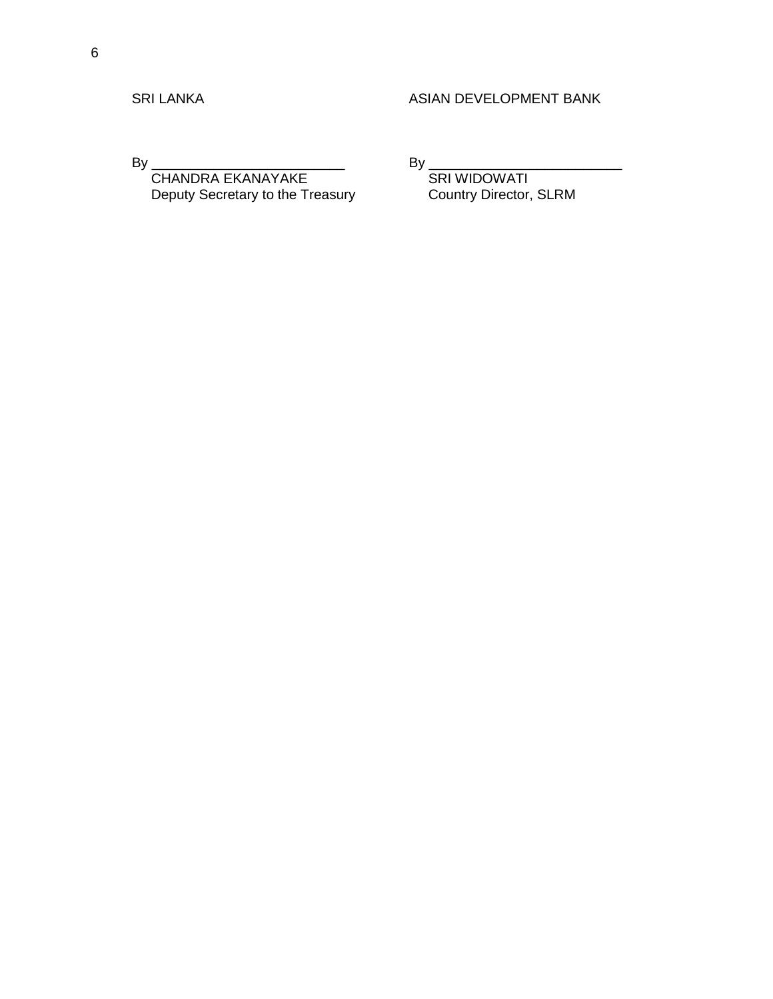By \_\_\_\_\_\_\_\_\_\_\_\_\_\_\_\_\_\_\_\_\_\_\_\_\_ By \_\_\_\_\_\_\_\_\_\_\_\_\_\_\_\_\_\_\_\_\_\_\_\_\_ CHANDRA EKANAYAKE<br>
Deputy Secretary to the Treasury Country Director, SLRM Deputy Secretary to the Treasury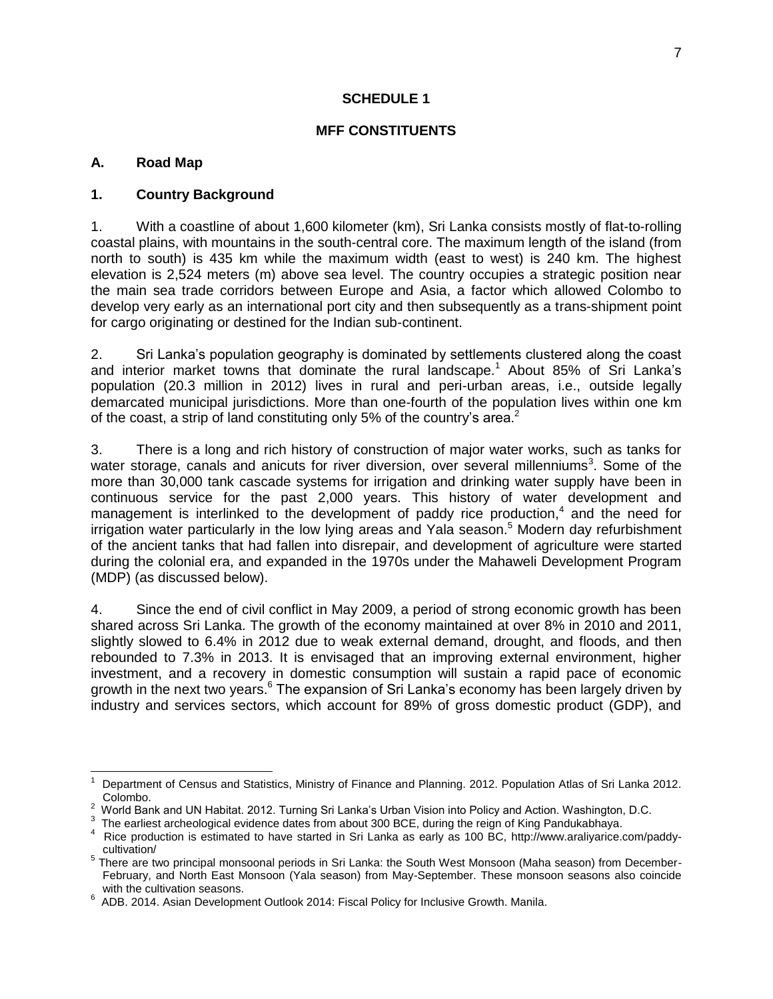#### **SCHEDULE 1**

#### **MFF CONSTITUENTS**

#### **A. Road Map**

### **1. Country Background**

1. With a coastline of about 1,600 kilometer (km), Sri Lanka consists mostly of flat-to-rolling coastal plains, with mountains in the south-central core. The maximum length of the island (from north to south) is 435 km while the maximum width (east to west) is 240 km. The highest elevation is 2,524 meters (m) above sea level. The country occupies a strategic position near the main sea trade corridors between Europe and Asia, a factor which allowed Colombo to develop very early as an international port city and then subsequently as a trans-shipment point for cargo originating or destined for the Indian sub-continent.

2. Sri Lanka's population geography is dominated by settlements clustered along the coast and interior market towns that dominate the rural landscape.<sup>1</sup> About 85% of Sri Lanka's population (20.3 million in 2012) lives in rural and peri-urban areas, i.e., outside legally demarcated municipal jurisdictions. More than one-fourth of the population lives within one km of the coast, a strip of land constituting only 5% of the country's area.<sup>2</sup>

3. There is a long and rich history of construction of major water works, such as tanks for water storage, canals and anicuts for river diversion, over several millenniums<sup>3</sup>. Some of the more than 30,000 tank cascade systems for irrigation and drinking water supply have been in continuous service for the past 2,000 years. This history of water development and management is interlinked to the development of paddy rice production, $4$  and the need for irrigation water particularly in the low lying areas and Yala season.<sup>5</sup> Modern day refurbishment of the ancient tanks that had fallen into disrepair, and development of agriculture were started during the colonial era, and expanded in the 1970s under the Mahaweli Development Program (MDP) (as discussed below).

4. Since the end of civil conflict in May 2009, a period of strong economic growth has been shared across Sri Lanka. The growth of the economy maintained at over 8% in 2010 and 2011, slightly slowed to 6.4% in 2012 due to weak external demand, drought, and floods, and then rebounded to 7.3% in 2013. It is envisaged that an improving external environment, higher investment, and a recovery in domestic consumption will sustain a rapid pace of economic growth in the next two years.<sup>6</sup> The expansion of Sri Lanka's economy has been largely driven by industry and services sectors, which account for 89% of gross domestic product (GDP), and

 $\overline{a}$ 1 Department of Census and Statistics, Ministry of Finance and Planning. 2012. Population Atlas of Sri Lanka 2012. Colombo.

 $2$  World Bank and UN Habitat. 2012. Turning Sri Lanka's Urban Vision into Policy and Action. Washington, D.C.

 $3$  The earliest archeological evidence dates from about 300 BCE, during the reign of King Pandukabhaya.

<sup>4</sup> Rice production is estimated to have started in Sri Lanka as early as 100 BC, http://www.araliyarice.com/paddycultivation/

<sup>&</sup>lt;sup>5</sup> There are two principal monsoonal periods in Sri Lanka: the South West Monsoon (Maha season) from December-February, and North East Monsoon (Yala season) from May-September. These monsoon seasons also coincide with the cultivation seasons.

 $6$  ADB. 2014. Asian Development Outlook 2014: Fiscal Policy for Inclusive Growth. Manila.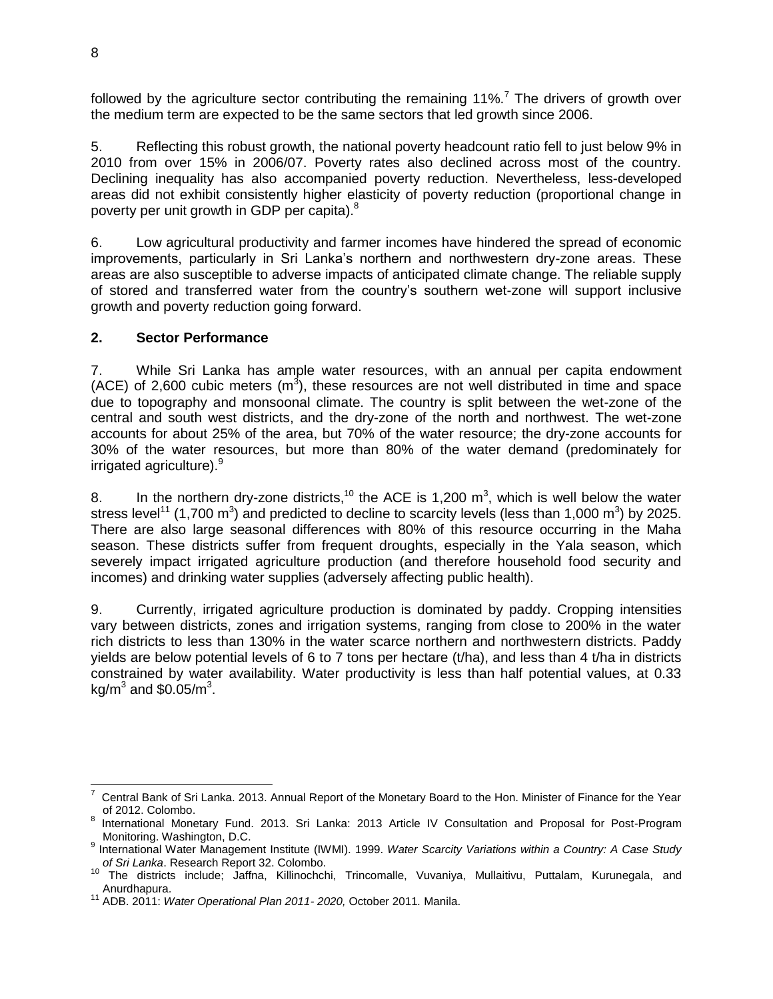followed by the agriculture sector contributing the remaining  $11\%$ <sup>7</sup>. The drivers of growth over the medium term are expected to be the same sectors that led growth since 2006.

5. Reflecting this robust growth, the national poverty headcount ratio fell to just below 9% in 2010 from over 15% in 2006/07. Poverty rates also declined across most of the country. Declining inequality has also accompanied poverty reduction. Nevertheless, less-developed areas did not exhibit consistently higher elasticity of poverty reduction (proportional change in poverty per unit growth in GDP per capita).<sup>8</sup>

6. Low agricultural productivity and farmer incomes have hindered the spread of economic improvements, particularly in Sri Lanka's northern and northwestern dry-zone areas. These areas are also susceptible to adverse impacts of anticipated climate change. The reliable supply of stored and transferred water from the country's southern wet-zone will support inclusive growth and poverty reduction going forward.

### **2. Sector Performance**

7. While Sri Lanka has ample water resources, with an annual per capita endowment (ACE) of 2,600 cubic meters  $(m^3)$ , these resources are not well distributed in time and space due to topography and monsoonal climate. The country is split between the wet-zone of the central and south west districts, and the dry-zone of the north and northwest. The wet-zone accounts for about 25% of the area, but 70% of the water resource; the dry-zone accounts for 30% of the water resources, but more than 80% of the water demand (predominately for irrigated agriculture).<sup>9</sup>

8. In the northern dry-zone districts,<sup>10</sup> the ACE is 1,200 m<sup>3</sup>, which is well below the water stress level<sup>11</sup> (1,700 m<sup>3</sup>) and predicted to decline to scarcity levels (less than 1,000 m<sup>3</sup>) by 2025. There are also large seasonal differences with 80% of this resource occurring in the Maha season. These districts suffer from frequent droughts, especially in the Yala season, which severely impact irrigated agriculture production (and therefore household food security and incomes) and drinking water supplies (adversely affecting public health).

9. Currently, irrigated agriculture production is dominated by paddy. Cropping intensities vary between districts, zones and irrigation systems, ranging from close to 200% in the water rich districts to less than 130% in the water scarce northern and northwestern districts. Paddy yields are below potential levels of 6 to 7 tons per hectare (t/ha), and less than 4 t/ha in districts constrained by water availability. Water productivity is less than half potential values, at 0.33 kg/m $^3$  and \$0.05/m $^3$ .

 7 Central Bank of Sri Lanka. 2013. Annual Report of the Monetary Board to the Hon. Minister of Finance for the Year of 2012. Colombo.

<sup>&</sup>lt;sup>8</sup> International Monetary Fund. 2013. Sri Lanka: 2013 Article IV Consultation and Proposal for Post-Program Monitoring. Washington, D.C.

<sup>9</sup> International Water Management Institute (IWMI). 1999. *Water Scarcity Variations within a Country: A Case Study of Sri Lanka*. Research Report 32. Colombo.

<sup>10</sup> The districts include; Jaffna, Killinochchi, Trincomalle, Vuvaniya, Mullaitivu, Puttalam, Kurunegala, and Anurdhapura.

<sup>11</sup> ADB. 2011: *Water Operational Plan 2011- 2020,* October 2011*.* Manila.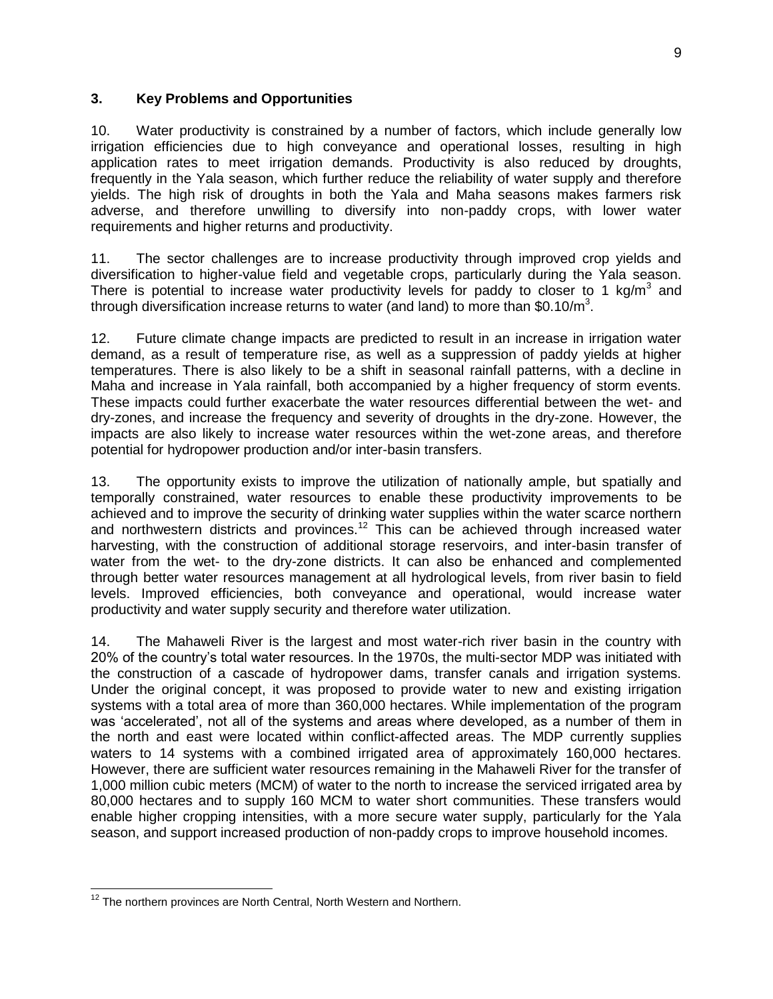### **3. Key Problems and Opportunities**

10. Water productivity is constrained by a number of factors, which include generally low irrigation efficiencies due to high conveyance and operational losses, resulting in high application rates to meet irrigation demands. Productivity is also reduced by droughts, frequently in the Yala season, which further reduce the reliability of water supply and therefore yields. The high risk of droughts in both the Yala and Maha seasons makes farmers risk adverse, and therefore unwilling to diversify into non-paddy crops, with lower water requirements and higher returns and productivity.

11. The sector challenges are to increase productivity through improved crop yields and diversification to higher-value field and vegetable crops, particularly during the Yala season. There is potential to increase water productivity levels for paddy to closer to 1 kg/m<sup>3</sup> and through diversification increase returns to water (and land) to more than \$0.10/m<sup>3</sup>.

12. Future climate change impacts are predicted to result in an increase in irrigation water demand, as a result of temperature rise, as well as a suppression of paddy yields at higher temperatures. There is also likely to be a shift in seasonal rainfall patterns, with a decline in Maha and increase in Yala rainfall, both accompanied by a higher frequency of storm events. These impacts could further exacerbate the water resources differential between the wet- and dry-zones, and increase the frequency and severity of droughts in the dry-zone. However, the impacts are also likely to increase water resources within the wet-zone areas, and therefore potential for hydropower production and/or inter-basin transfers.

13. The opportunity exists to improve the utilization of nationally ample, but spatially and temporally constrained, water resources to enable these productivity improvements to be achieved and to improve the security of drinking water supplies within the water scarce northern and northwestern districts and provinces.<sup>12</sup> This can be achieved through increased water harvesting, with the construction of additional storage reservoirs, and inter-basin transfer of water from the wet- to the dry-zone districts. It can also be enhanced and complemented through better water resources management at all hydrological levels, from river basin to field levels. Improved efficiencies, both conveyance and operational, would increase water productivity and water supply security and therefore water utilization.

14. The Mahaweli River is the largest and most water-rich river basin in the country with 20% of the country's total water resources. In the 1970s, the multi-sector MDP was initiated with the construction of a cascade of hydropower dams, transfer canals and irrigation systems. Under the original concept, it was proposed to provide water to new and existing irrigation systems with a total area of more than 360,000 hectares. While implementation of the program was 'accelerated', not all of the systems and areas where developed, as a number of them in the north and east were located within conflict-affected areas. The MDP currently supplies waters to 14 systems with a combined irrigated area of approximately 160,000 hectares. However, there are sufficient water resources remaining in the Mahaweli River for the transfer of 1,000 million cubic meters (MCM) of water to the north to increase the serviced irrigated area by 80,000 hectares and to supply 160 MCM to water short communities. These transfers would enable higher cropping intensities, with a more secure water supply, particularly for the Yala season, and support increased production of non-paddy crops to improve household incomes.

  $12$  The northern provinces are North Central, North Western and Northern.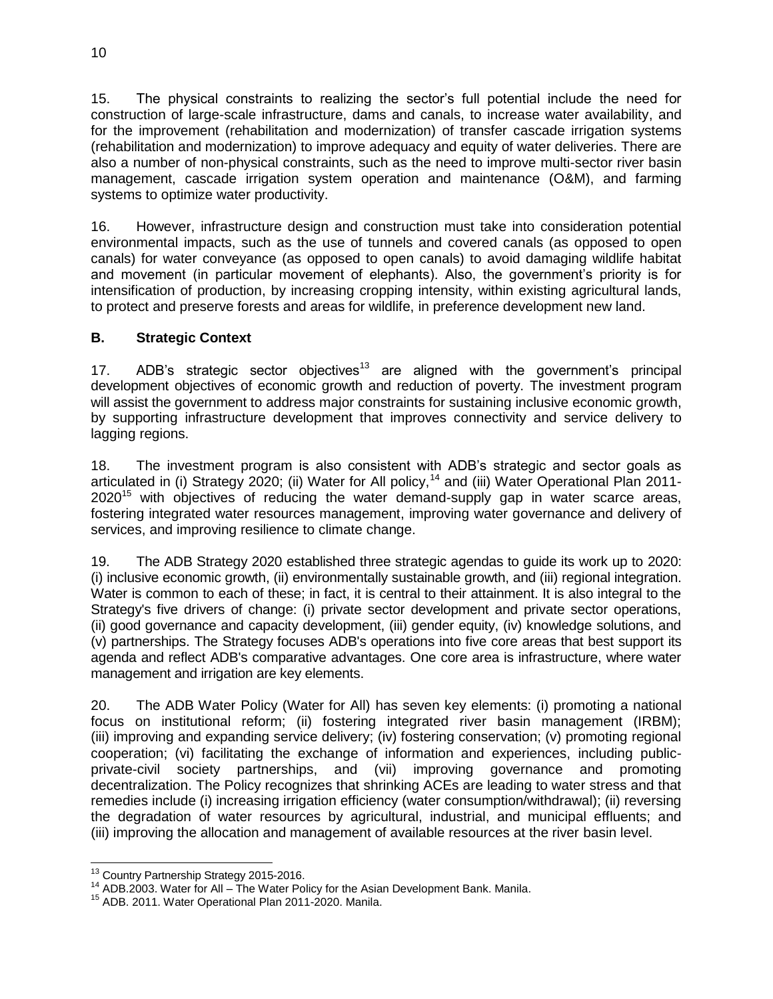15. The physical constraints to realizing the sector's full potential include the need for construction of large-scale infrastructure, dams and canals, to increase water availability, and for the improvement (rehabilitation and modernization) of transfer cascade irrigation systems (rehabilitation and modernization) to improve adequacy and equity of water deliveries. There are also a number of non-physical constraints, such as the need to improve multi-sector river basin management, cascade irrigation system operation and maintenance (O&M), and farming systems to optimize water productivity.

16. However, infrastructure design and construction must take into consideration potential environmental impacts, such as the use of tunnels and covered canals (as opposed to open canals) for water conveyance (as opposed to open canals) to avoid damaging wildlife habitat and movement (in particular movement of elephants). Also, the government's priority is for intensification of production, by increasing cropping intensity, within existing agricultural lands, to protect and preserve forests and areas for wildlife, in preference development new land.

### **B. Strategic Context**

17. ADB's strategic sector objectives<sup>13</sup> are aligned with the government's principal development objectives of economic growth and reduction of poverty. The investment program will assist the government to address major constraints for sustaining inclusive economic growth, by supporting infrastructure development that improves connectivity and service delivery to lagging regions.

18. The investment program is also consistent with ADB's strategic and sector goals as articulated in (i) Strategy 2020; (ii) Water for All policy,<sup>14</sup> and (iii) Water Operational Plan 2011- $2020<sup>15</sup>$  with objectives of reducing the water demand-supply gap in water scarce areas, fostering integrated water resources management, improving water governance and delivery of services, and improving resilience to climate change.

19. The ADB Strategy 2020 established three strategic agendas to guide its work up to 2020: (i) inclusive economic growth, (ii) environmentally sustainable growth, and (iii) regional integration. Water is common to each of these; in fact, it is central to their attainment. It is also integral to the Strategy's five drivers of change: (i) private sector development and private sector operations, (ii) good governance and capacity development, (iii) gender equity, (iv) knowledge solutions, and (v) partnerships. The Strategy focuses ADB's operations into five core areas that best support its agenda and reflect ADB's comparative advantages. One core area is infrastructure, where water management and irrigation are key elements.

20. The ADB Water Policy (Water for All) has seven key elements: (i) promoting a national focus on institutional reform; (ii) fostering integrated river basin management (IRBM); (iii) improving and expanding service delivery; (iv) fostering conservation; (v) promoting regional cooperation; (vi) facilitating the exchange of information and experiences, including publicprivate-civil society partnerships, and (vii) improving governance and promoting decentralization. The Policy recognizes that shrinking ACEs are leading to water stress and that remedies include (i) increasing irrigation efficiency (water consumption/withdrawal); (ii) reversing the degradation of water resources by agricultural, industrial, and municipal effluents; and (iii) improving the allocation and management of available resources at the river basin level.

 <sup>13</sup> Country Partnership Strategy 2015-2016.

 $14$  ADB.2003. Water for All – The Water Policy for the Asian Development Bank. Manila.

<sup>&</sup>lt;sup>15</sup> ADB. 2011. Water Operational Plan 2011-2020. Manila.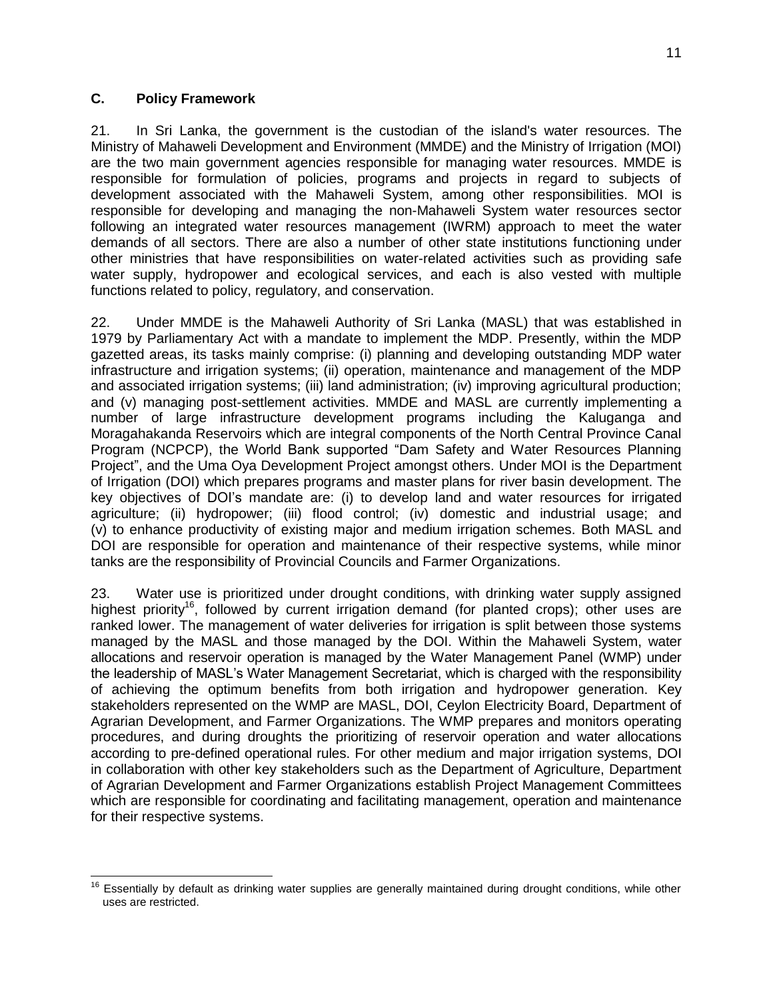### **C. Policy Framework**

21. In Sri Lanka, the government is the custodian of the island's water resources. The Ministry of Mahaweli Development and Environment (MMDE) and the Ministry of Irrigation (MOI) are the two main government agencies responsible for managing water resources. MMDE is responsible for formulation of policies, programs and projects in regard to subjects of development associated with the Mahaweli System, among other responsibilities. MOI is responsible for developing and managing the non-Mahaweli System water resources sector following an integrated water resources management (IWRM) approach to meet the water demands of all sectors. There are also a number of other state institutions functioning under other ministries that have responsibilities on water-related activities such as providing safe water supply, hydropower and ecological services, and each is also vested with multiple functions related to policy, regulatory, and conservation.

22. Under MMDE is the Mahaweli Authority of Sri Lanka (MASL) that was established in 1979 by Parliamentary Act with a mandate to implement the MDP. Presently, within the MDP gazetted areas, its tasks mainly comprise: (i) planning and developing outstanding MDP water infrastructure and irrigation systems; (ii) operation, maintenance and management of the MDP and associated irrigation systems; (iii) land administration; (iv) improving agricultural production; and (v) managing post-settlement activities. MMDE and MASL are currently implementing a number of large infrastructure development programs including the Kaluganga and Moragahakanda Reservoirs which are integral components of the North Central Province Canal Program (NCPCP), the World Bank supported "Dam Safety and Water Resources Planning Project", and the Uma Oya Development Project amongst others. Under MOI is the Department of Irrigation (DOI) which prepares programs and master plans for river basin development. The key objectives of DOI's mandate are: (i) to develop land and water resources for irrigated agriculture; (ii) hydropower; (iii) flood control; (iv) domestic and industrial usage; and (v) to enhance productivity of existing major and medium irrigation schemes. Both MASL and DOI are responsible for operation and maintenance of their respective systems, while minor tanks are the responsibility of Provincial Councils and Farmer Organizations.

23. Water use is prioritized under drought conditions, with drinking water supply assigned highest priority<sup>16</sup>, followed by current irrigation demand (for planted crops); other uses are ranked lower. The management of water deliveries for irrigation is split between those systems managed by the MASL and those managed by the DOI. Within the Mahaweli System, water allocations and reservoir operation is managed by the Water Management Panel (WMP) under the leadership of MASL's Water Management Secretariat, which is charged with the responsibility of achieving the optimum benefits from both irrigation and hydropower generation. Key stakeholders represented on the WMP are MASL, DOI, Ceylon Electricity Board, Department of Agrarian Development, and Farmer Organizations. The WMP prepares and monitors operating procedures, and during droughts the prioritizing of reservoir operation and water allocations according to pre-defined operational rules. For other medium and major irrigation systems, DOI in collaboration with other key stakeholders such as the Department of Agriculture, Department of Agrarian Development and Farmer Organizations establish Project Management Committees which are responsible for coordinating and facilitating management, operation and maintenance for their respective systems.

 $\overline{a}$ <sup>16</sup> Essentially by default as drinking water supplies are generally maintained during drought conditions, while other uses are restricted.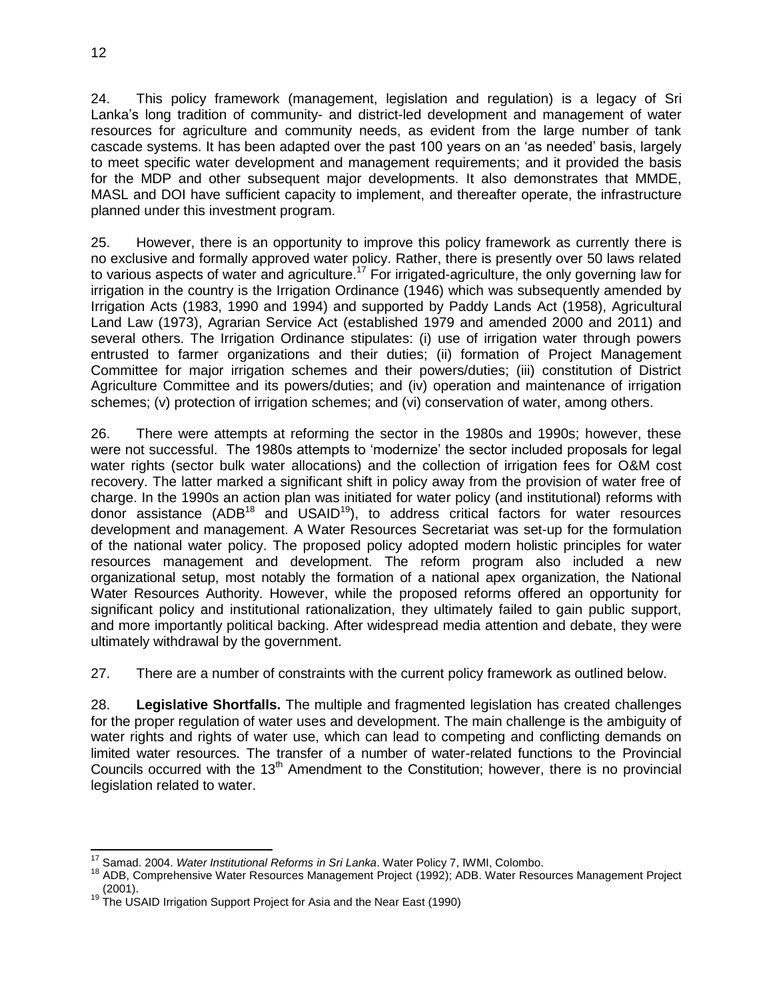24. This policy framework (management, legislation and regulation) is a legacy of Sri Lanka's long tradition of community- and district-led development and management of water resources for agriculture and community needs, as evident from the large number of tank cascade systems. It has been adapted over the past 100 years on an 'as needed' basis, largely to meet specific water development and management requirements; and it provided the basis for the MDP and other subsequent major developments. It also demonstrates that MMDE, MASL and DOI have sufficient capacity to implement, and thereafter operate, the infrastructure planned under this investment program.

25. However, there is an opportunity to improve this policy framework as currently there is no exclusive and formally approved water policy. Rather, there is presently over 50 laws related to various aspects of water and agriculture.<sup>17</sup> For irrigated-agriculture, the only governing law for irrigation in the country is the Irrigation Ordinance (1946) which was subsequently amended by Irrigation Acts (1983, 1990 and 1994) and supported by Paddy Lands Act (1958), Agricultural Land Law (1973), Agrarian Service Act (established 1979 and amended 2000 and 2011) and several others. The Irrigation Ordinance stipulates: (i) use of irrigation water through powers entrusted to farmer organizations and their duties; (ii) formation of Project Management Committee for major irrigation schemes and their powers/duties; (iii) constitution of District Agriculture Committee and its powers/duties; and (iv) operation and maintenance of irrigation schemes; (v) protection of irrigation schemes; and (vi) conservation of water, among others.

26. There were attempts at reforming the sector in the 1980s and 1990s; however, these were not successful. The 1980s attempts to 'modernize' the sector included proposals for legal water rights (sector bulk water allocations) and the collection of irrigation fees for O&M cost recovery. The latter marked a significant shift in policy away from the provision of water free of charge. In the 1990s an action plan was initiated for water policy (and institutional) reforms with donor assistance  $(ADB^{18}$  and  $USAID^{19})$ , to address critical factors for water resources development and management. A Water Resources Secretariat was set-up for the formulation of the national water policy. The proposed policy adopted modern holistic principles for water resources management and development. The reform program also included a new organizational setup, most notably the formation of a national apex organization, the National Water Resources Authority. However, while the proposed reforms offered an opportunity for significant policy and institutional rationalization, they ultimately failed to gain public support, and more importantly political backing. After widespread media attention and debate, they were ultimately withdrawal by the government.

27. There are a number of constraints with the current policy framework as outlined below.

28. **Legislative Shortfalls.** The multiple and fragmented legislation has created challenges for the proper regulation of water uses and development. The main challenge is the ambiguity of water rights and rights of water use, which can lead to competing and conflicting demands on limited water resources. The transfer of a number of water-related functions to the Provincial Councils occurred with the 13<sup>th</sup> Amendment to the Constitution; however, there is no provincial legislation related to water.

 $\overline{a}$ <sup>17</sup> Samad. 2004. *Water Institutional Reforms in Sri Lanka*. Water Policy 7, IWMI, Colombo.

<sup>&</sup>lt;sup>18</sup> ADB, Comprehensive Water Resources Management Project (1992); ADB. Water Resources Management Project (2001).

 $19$  The USAID Irrigation Support Project for Asia and the Near East (1990)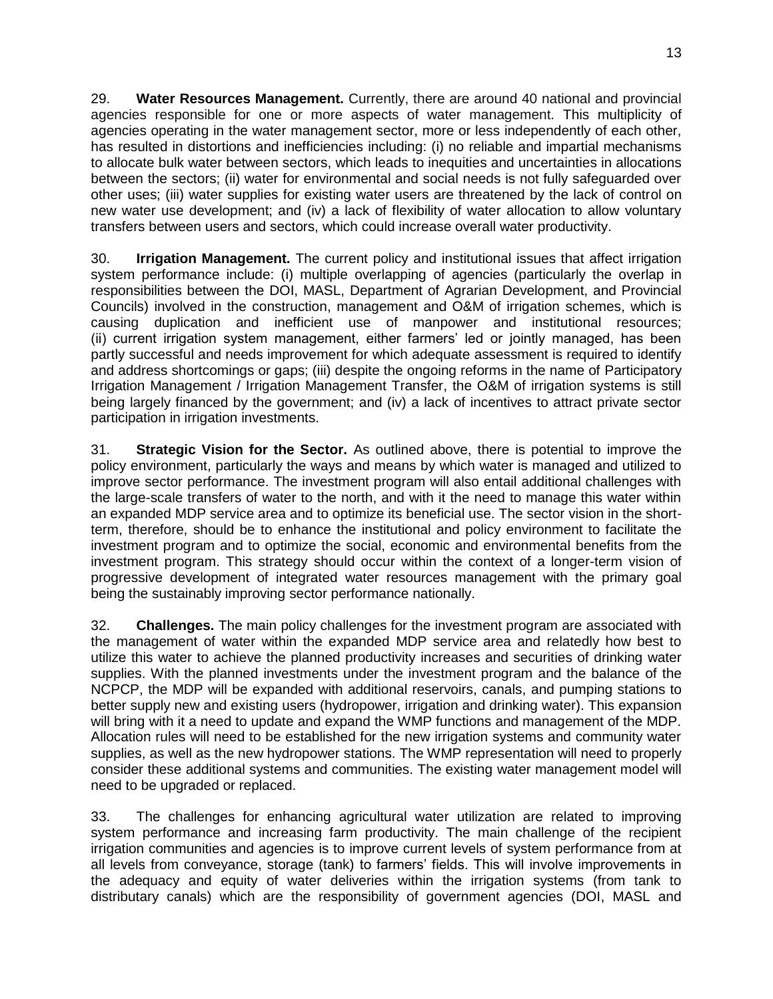29. **Water Resources Management.** Currently, there are around 40 national and provincial agencies responsible for one or more aspects of water management. This multiplicity of agencies operating in the water management sector, more or less independently of each other, has resulted in distortions and inefficiencies including: (i) no reliable and impartial mechanisms to allocate bulk water between sectors, which leads to inequities and uncertainties in allocations between the sectors; (ii) water for environmental and social needs is not fully safeguarded over other uses; (iii) water supplies for existing water users are threatened by the lack of control on new water use development; and (iv) a lack of flexibility of water allocation to allow voluntary transfers between users and sectors, which could increase overall water productivity.

30. **Irrigation Management.** The current policy and institutional issues that affect irrigation system performance include: (i) multiple overlapping of agencies (particularly the overlap in responsibilities between the DOI, MASL, Department of Agrarian Development, and Provincial Councils) involved in the construction, management and O&M of irrigation schemes, which is causing duplication and inefficient use of manpower and institutional resources; (ii) current irrigation system management, either farmers' led or jointly managed, has been partly successful and needs improvement for which adequate assessment is required to identify and address shortcomings or gaps; (iii) despite the ongoing reforms in the name of Participatory Irrigation Management / Irrigation Management Transfer, the O&M of irrigation systems is still being largely financed by the government; and (iv) a lack of incentives to attract private sector participation in irrigation investments.

31. **Strategic Vision for the Sector.** As outlined above, there is potential to improve the policy environment, particularly the ways and means by which water is managed and utilized to improve sector performance. The investment program will also entail additional challenges with the large-scale transfers of water to the north, and with it the need to manage this water within an expanded MDP service area and to optimize its beneficial use. The sector vision in the shortterm, therefore, should be to enhance the institutional and policy environment to facilitate the investment program and to optimize the social, economic and environmental benefits from the investment program. This strategy should occur within the context of a longer-term vision of progressive development of integrated water resources management with the primary goal being the sustainably improving sector performance nationally.

32. **Challenges.** The main policy challenges for the investment program are associated with the management of water within the expanded MDP service area and relatedly how best to utilize this water to achieve the planned productivity increases and securities of drinking water supplies. With the planned investments under the investment program and the balance of the NCPCP, the MDP will be expanded with additional reservoirs, canals, and pumping stations to better supply new and existing users (hydropower, irrigation and drinking water). This expansion will bring with it a need to update and expand the WMP functions and management of the MDP. Allocation rules will need to be established for the new irrigation systems and community water supplies, as well as the new hydropower stations. The WMP representation will need to properly consider these additional systems and communities. The existing water management model will need to be upgraded or replaced.

33. The challenges for enhancing agricultural water utilization are related to improving system performance and increasing farm productivity. The main challenge of the recipient irrigation communities and agencies is to improve current levels of system performance from at all levels from conveyance, storage (tank) to farmers' fields. This will involve improvements in the adequacy and equity of water deliveries within the irrigation systems (from tank to distributary canals) which are the responsibility of government agencies (DOI, MASL and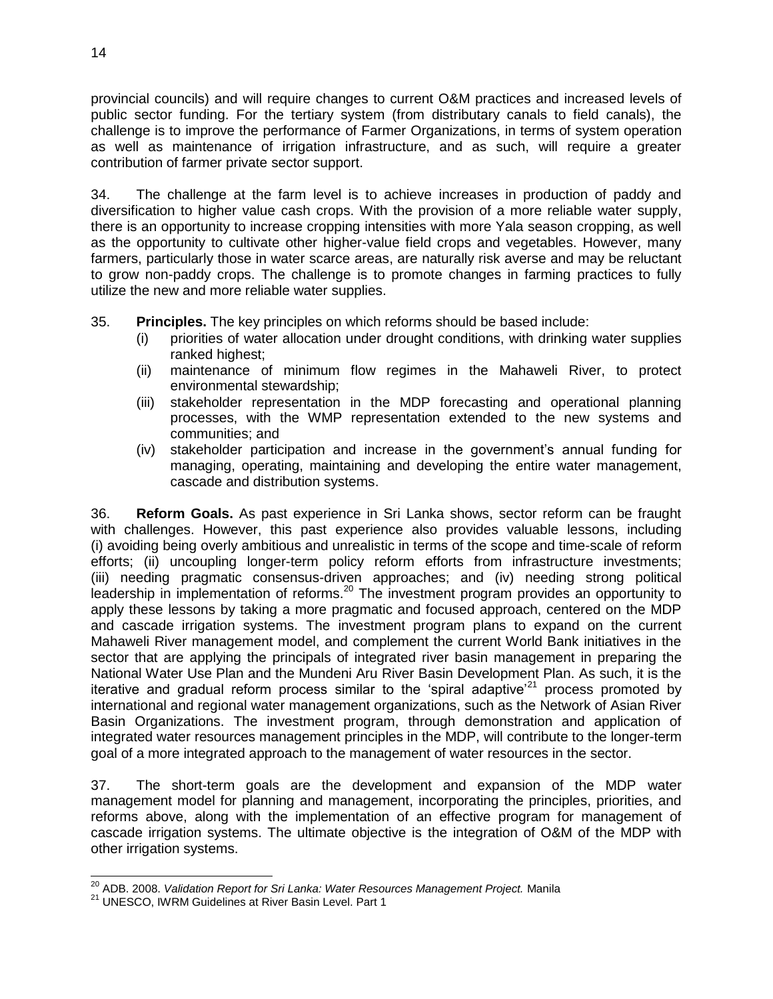provincial councils) and will require changes to current O&M practices and increased levels of public sector funding. For the tertiary system (from distributary canals to field canals), the challenge is to improve the performance of Farmer Organizations, in terms of system operation as well as maintenance of irrigation infrastructure, and as such, will require a greater contribution of farmer private sector support.

34. The challenge at the farm level is to achieve increases in production of paddy and diversification to higher value cash crops. With the provision of a more reliable water supply, there is an opportunity to increase cropping intensities with more Yala season cropping, as well as the opportunity to cultivate other higher-value field crops and vegetables. However, many farmers, particularly those in water scarce areas, are naturally risk averse and may be reluctant to grow non-paddy crops. The challenge is to promote changes in farming practices to fully utilize the new and more reliable water supplies.

35. **Principles.** The key principles on which reforms should be based include:

- (i) priorities of water allocation under drought conditions, with drinking water supplies ranked highest;
- (ii) maintenance of minimum flow regimes in the Mahaweli River, to protect environmental stewardship;
- (iii) stakeholder representation in the MDP forecasting and operational planning processes, with the WMP representation extended to the new systems and communities; and
- (iv) stakeholder participation and increase in the government's annual funding for managing, operating, maintaining and developing the entire water management, cascade and distribution systems.

36. **Reform Goals.** As past experience in Sri Lanka shows, sector reform can be fraught with challenges. However, this past experience also provides valuable lessons, including (i) avoiding being overly ambitious and unrealistic in terms of the scope and time-scale of reform efforts; (ii) uncoupling longer-term policy reform efforts from infrastructure investments; (iii) needing pragmatic consensus-driven approaches; and (iv) needing strong political leadership in implementation of reforms.<sup>20</sup> The investment program provides an opportunity to apply these lessons by taking a more pragmatic and focused approach, centered on the MDP and cascade irrigation systems. The investment program plans to expand on the current Mahaweli River management model, and complement the current World Bank initiatives in the sector that are applying the principals of integrated river basin management in preparing the National Water Use Plan and the Mundeni Aru River Basin Development Plan. As such, it is the iterative and gradual reform process similar to the 'spiral adaptive'<sup>21</sup> process promoted by international and regional water management organizations, such as the Network of Asian River Basin Organizations. The investment program, through demonstration and application of integrated water resources management principles in the MDP, will contribute to the longer-term goal of a more integrated approach to the management of water resources in the sector.

37. The short-term goals are the development and expansion of the MDP water management model for planning and management, incorporating the principles, priorities, and reforms above, along with the implementation of an effective program for management of cascade irrigation systems. The ultimate objective is the integration of O&M of the MDP with other irrigation systems.

 $\overline{\phantom{a}}$ <sup>20</sup> ADB. 2008. *Validation Report for Sri Lanka: Water Resources Management Project.* Manila

<sup>&</sup>lt;sup>21</sup> UNESCO, IWRM Guidelines at River Basin Level. Part 1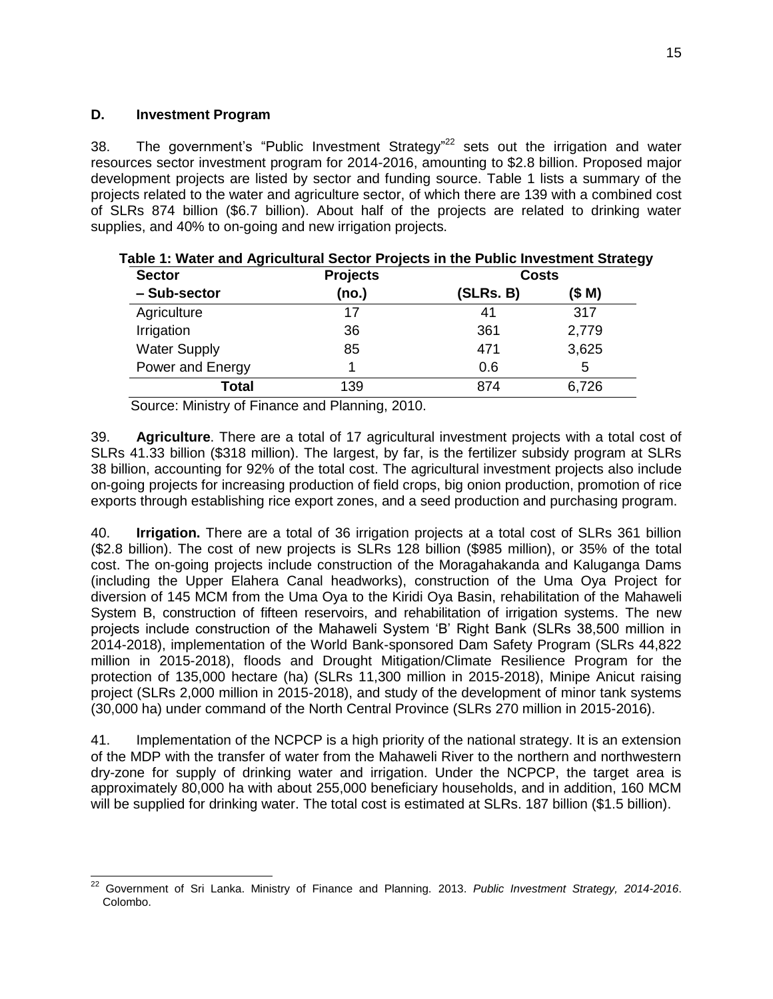### **D. Investment Program**

38. The government's "Public Investment Strategy" $22$  sets out the irrigation and water resources sector investment program for 2014-2016, amounting to \$2.8 billion. Proposed major development projects are listed by sector and funding source. Table 1 lists a summary of the projects related to the water and agriculture sector, of which there are 139 with a combined cost of SLRs 874 billion (\$6.7 billion). About half of the projects are related to drinking water supplies, and 40% to on-going and new irrigation projects.

| <b>Sector</b>       | <b>Projects</b> | <b>Costs</b> |       |
|---------------------|-----------------|--------------|-------|
| - Sub-sector        | (no.)           | (SLRs. B)    | (SM)  |
| Agriculture         | 17              | 41           | 317   |
| Irrigation          | 36              | 361          | 2,779 |
| <b>Water Supply</b> | 85              | 471          | 3,625 |
| Power and Energy    |                 | 0.6          | 5     |
| Total               | 139             | 874          | 6,726 |

| Table 1: Water and Agricultural Sector Projects in the Public Investment Strategy |
|-----------------------------------------------------------------------------------|
|-----------------------------------------------------------------------------------|

Source: Ministry of Finance and Planning, 2010.

39. **Agriculture**. There are a total of 17 agricultural investment projects with a total cost of SLRs 41.33 billion (\$318 million). The largest, by far, is the fertilizer subsidy program at SLRs 38 billion, accounting for 92% of the total cost. The agricultural investment projects also include on-going projects for increasing production of field crops, big onion production, promotion of rice exports through establishing rice export zones, and a seed production and purchasing program.

40. **Irrigation.** There are a total of 36 irrigation projects at a total cost of SLRs 361 billion (\$2.8 billion). The cost of new projects is SLRs 128 billion (\$985 million), or 35% of the total cost. The on-going projects include construction of the Moragahakanda and Kaluganga Dams (including the Upper Elahera Canal headworks), construction of the Uma Oya Project for diversion of 145 MCM from the Uma Oya to the Kiridi Oya Basin, rehabilitation of the Mahaweli System B, construction of fifteen reservoirs, and rehabilitation of irrigation systems. The new projects include construction of the Mahaweli System 'B' Right Bank (SLRs 38,500 million in 2014-2018), implementation of the World Bank-sponsored Dam Safety Program (SLRs 44,822 million in 2015-2018), floods and Drought Mitigation/Climate Resilience Program for the protection of 135,000 hectare (ha) (SLRs 11,300 million in 2015-2018), Minipe Anicut raising project (SLRs 2,000 million in 2015-2018), and study of the development of minor tank systems (30,000 ha) under command of the North Central Province (SLRs 270 million in 2015-2016).

41. Implementation of the NCPCP is a high priority of the national strategy. It is an extension of the MDP with the transfer of water from the Mahaweli River to the northern and northwestern dry-zone for supply of drinking water and irrigation. Under the NCPCP, the target area is approximately 80,000 ha with about 255,000 beneficiary households, and in addition, 160 MCM will be supplied for drinking water. The total cost is estimated at SLRs. 187 billion (\$1.5 billion).

 $\overline{\phantom{a}}$ <sup>22</sup> Government of Sri Lanka. Ministry of Finance and Planning. 2013. *Public Investment Strategy, 2014-2016*. Colombo.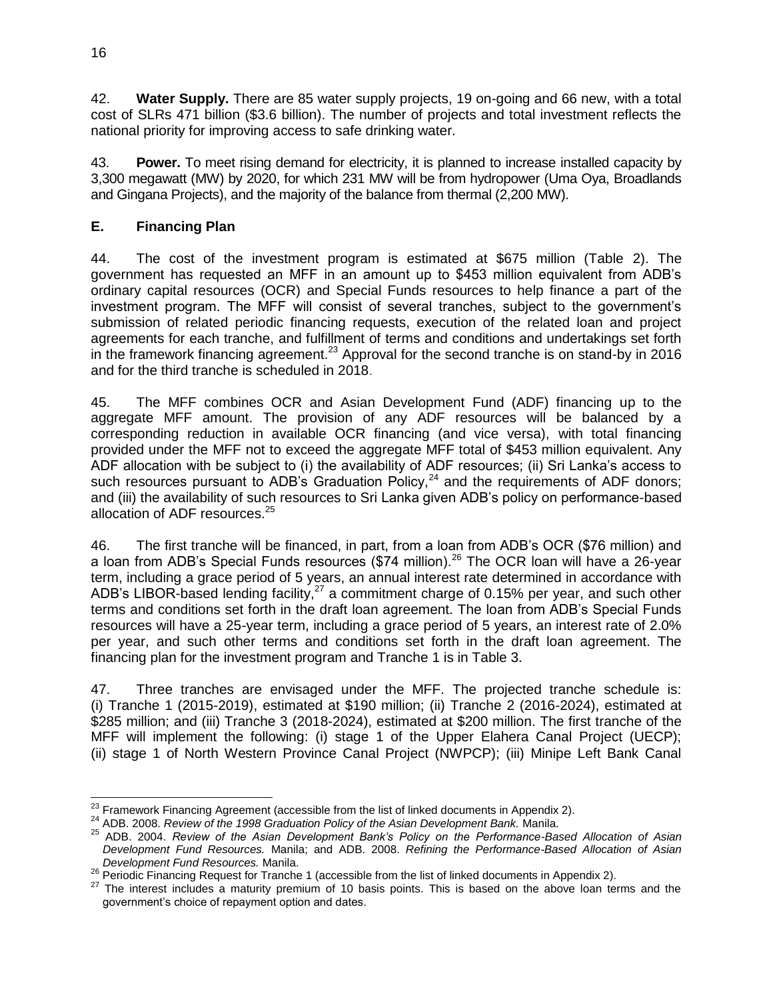42. **Water Supply.** There are 85 water supply projects, 19 on-going and 66 new, with a total cost of SLRs 471 billion (\$3.6 billion). The number of projects and total investment reflects the national priority for improving access to safe drinking water.

43. **Power.** To meet rising demand for electricity, it is planned to increase installed capacity by 3,300 megawatt (MW) by 2020, for which 231 MW will be from hydropower (Uma Oya, Broadlands and Gingana Projects), and the majority of the balance from thermal (2,200 MW).

# **E. Financing Plan**

44. The cost of the investment program is estimated at \$675 million (Table 2). The government has requested an MFF in an amount up to \$453 million equivalent from ADB's ordinary capital resources (OCR) and Special Funds resources to help finance a part of the investment program. The MFF will consist of several tranches, subject to the government's submission of related periodic financing requests, execution of the related loan and project agreements for each tranche, and fulfillment of terms and conditions and undertakings set forth in the framework financing agreement.<sup>23</sup> Approval for the second tranche is on stand-by in 2016 and for the third tranche is scheduled in 2018.

45. The MFF combines OCR and Asian Development Fund (ADF) financing up to the aggregate MFF amount. The provision of any ADF resources will be balanced by a corresponding reduction in available OCR financing (and vice versa), with total financing provided under the MFF not to exceed the aggregate MFF total of \$453 million equivalent. Any ADF allocation with be subject to (i) the availability of ADF resources; (ii) Sri Lanka's access to such resources pursuant to ADB's Graduation Policy,  $24$  and the requirements of ADF donors; and (iii) the availability of such resources to Sri Lanka given ADB's policy on performance-based allocation of ADF resources.<sup>25</sup>

46. The first tranche will be financed, in part, from a loan from ADB's OCR (\$76 million) and a loan from ADB's Special Funds resources (\$74 million).<sup>26</sup> The OCR loan will have a 26-year term, including a grace period of 5 years, an annual interest rate determined in accordance with ADB's LIBOR-based lending facility,<sup>27</sup> a commitment charge of 0.15% per year, and such other terms and conditions set forth in the draft loan agreement. The loan from ADB's Special Funds resources will have a 25-year term, including a grace period of 5 years, an interest rate of 2.0% per year, and such other terms and conditions set forth in the draft loan agreement. The financing plan for the investment program and Tranche 1 is in Table 3.

47. Three tranches are envisaged under the MFF. The projected tranche schedule is: (i) Tranche 1 (2015-2019), estimated at \$190 million; (ii) Tranche 2 (2016-2024), estimated at \$285 million; and (iii) Tranche 3 (2018-2024), estimated at \$200 million. The first tranche of the MFF will implement the following: (i) stage 1 of the Upper Elahera Canal Project (UECP); (ii) stage 1 of North Western Province Canal Project (NWPCP); (iii) Minipe Left Bank Canal

  $^{23}$  Framework Financing Agreement (accessible from the list of linked documents in Appendix 2).

<sup>24</sup> ADB. 2008. *Review of the 1998 Graduation Policy of the Asian Development Bank.* Manila.

<sup>25</sup> ADB. 2004. *Review of the Asian Development Bank's Policy on the Performance-Based Allocation of Asian Development Fund Resources.* Manila; and ADB. 2008. *Refining the Performance-Based Allocation of Asian Development Fund Resources.* Manila.

<sup>26</sup> Periodic Financing Request for Tranche 1 (accessible from the list of linked documents in Appendix 2).

<sup>&</sup>lt;sup>27</sup> The interest includes a maturity premium of 10 basis points. This is based on the above loan terms and the government's choice of repayment option and dates.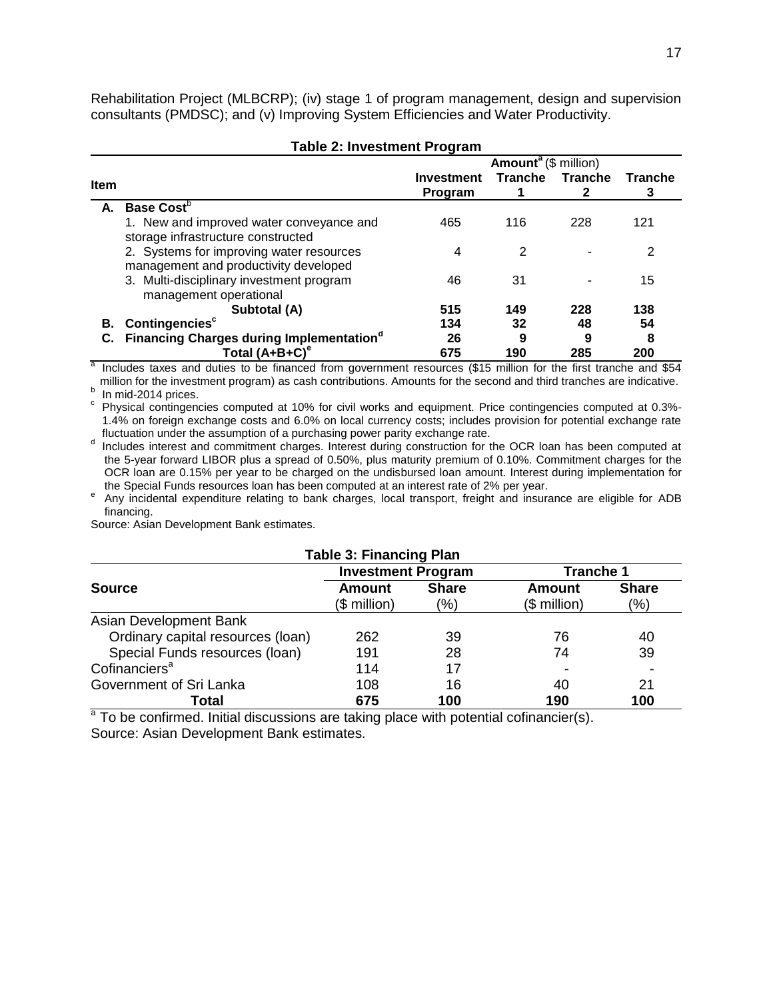Rehabilitation Project (MLBCRP); (iv) stage 1 of program management, design and supervision consultants (PMDSC); and (v) Improving System Efficiencies and Water Productivity.

|                                        | <b>Table 2: Investment Program</b>                                                |                              |                |                |                |
|----------------------------------------|-----------------------------------------------------------------------------------|------------------------------|----------------|----------------|----------------|
| <b>Amount<sup>a</sup></b> (\$ million) |                                                                                   |                              |                |                |                |
| <b>Item</b>                            |                                                                                   | <b>Investment</b><br>Program | <b>Tranche</b> | <b>Tranche</b> | <b>Tranche</b> |
| А.                                     | <b>Base Cost</b> <sup>b</sup>                                                     |                              |                |                |                |
|                                        | 1. New and improved water conveyance and<br>storage infrastructure constructed    | 465                          | 116            | 228            | 121            |
|                                        | 2. Systems for improving water resources<br>management and productivity developed | 4                            | 2              |                | 2              |
|                                        | 3. Multi-disciplinary investment program<br>management operational                | 46                           | 31             |                | 15             |
|                                        | Subtotal (A)                                                                      | 515                          | 149            | 228            | 138            |
| В.                                     | Contingencies <sup>c</sup>                                                        | 134                          | 32             | 48             | 54             |
|                                        | <b>Financing Charges during Implementation</b> <sup>°</sup>                       | 26                           | 9              | 9              | 8              |
|                                        | Total $(A+B+C)^e$                                                                 | 675                          | 190            | 285            | 200            |

 $\overline{a}$  Includes taxes and duties to be financed from government resources (\$15 million for the first tranche and \$54 million for the investment program) as cash contributions. Amounts for the second and third tranches are indicative.  $b$  In mid-2014 prices.

c Physical contingencies computed at 10% for civil works and equipment. Price contingencies computed at 0.3%- 1.4% on foreign exchange costs and 6.0% on local currency costs; includes provision for potential exchange rate fluctuation under the assumption of a purchasing power parity exchange rate.

d Includes interest and commitment charges. Interest during construction for the OCR loan has been computed at the 5-year forward LIBOR plus a spread of 0.50%, plus maturity premium of 0.10%. Commitment charges for the OCR loan are 0.15% per year to be charged on the undisbursed loan amount. Interest during implementation for the Special Funds resources loan has been computed at an interest rate of 2% per year.

e Any incidental expenditure relating to bank charges, local transport, freight and insurance are eligible for ADB financing.

Source: Asian Development Bank estimates.

| <b>Table 3: Financing Plan</b>    |                               |                         |                        |                     |  |
|-----------------------------------|-------------------------------|-------------------------|------------------------|---------------------|--|
| <b>Investment Program</b>         |                               |                         | <b>Tranche 1</b>       |                     |  |
| <b>Source</b>                     | <b>Amount</b><br>$$$ million) | <b>Share</b><br>$(\% )$ | Amount<br>$$$ million) | <b>Share</b><br>(%) |  |
| Asian Development Bank            |                               |                         |                        |                     |  |
| Ordinary capital resources (loan) | 262                           | 39                      | 76                     | 40                  |  |
| Special Funds resources (Ioan)    | 191                           | 28                      | 74                     | 39                  |  |
| Cofinanciers <sup>a</sup>         | 114                           | 17                      |                        |                     |  |
| Government of Sri Lanka           | 108                           | 16                      | 40                     | 21                  |  |
| Total                             | 675                           | 100                     | 190                    | 100                 |  |

 $a$  To be confirmed. Initial discussions are taking place with potential cofinancier(s). Source: Asian Development Bank estimates.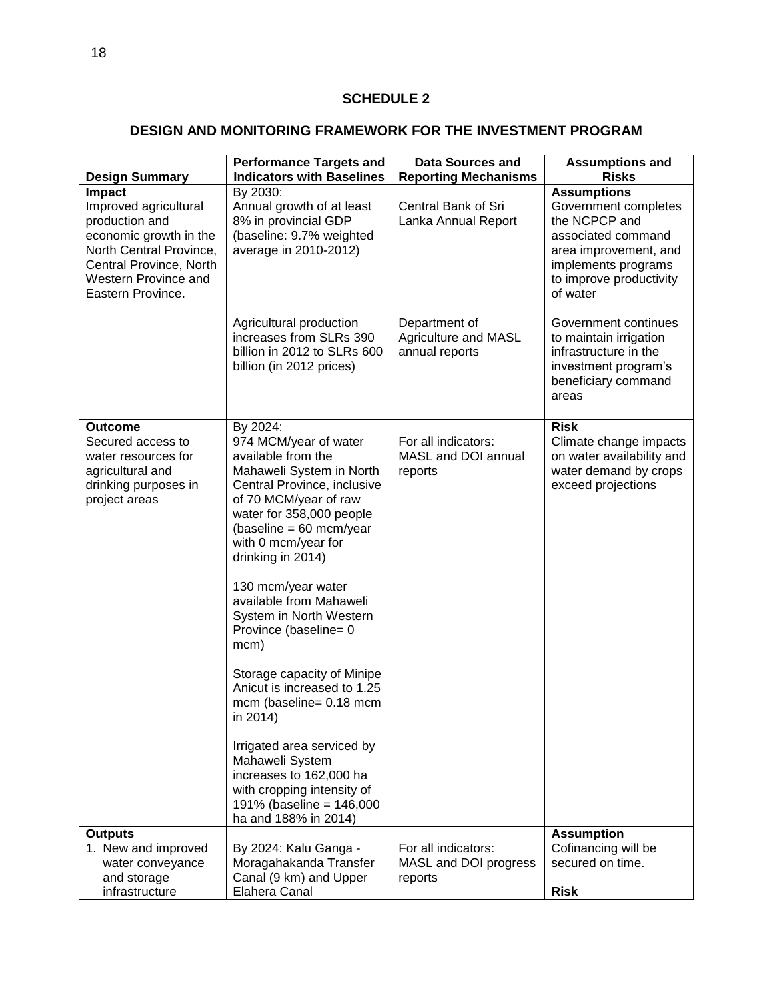# **DESIGN AND MONITORING FRAMEWORK FOR THE INVESTMENT PROGRAM**

| <b>Design Summary</b>                                                                                                                                                          | <b>Performance Targets and</b><br><b>Indicators with Baselines</b>                                                                                                                                                                                                                                                                                                                                                                                                                                                                                                                                                              | <b>Data Sources and</b><br><b>Reporting Mechanisms</b>  | <b>Assumptions and</b><br><b>Risks</b>                                                                                                                                   |
|--------------------------------------------------------------------------------------------------------------------------------------------------------------------------------|---------------------------------------------------------------------------------------------------------------------------------------------------------------------------------------------------------------------------------------------------------------------------------------------------------------------------------------------------------------------------------------------------------------------------------------------------------------------------------------------------------------------------------------------------------------------------------------------------------------------------------|---------------------------------------------------------|--------------------------------------------------------------------------------------------------------------------------------------------------------------------------|
| Impact<br>Improved agricultural<br>production and<br>economic growth in the<br>North Central Province,<br>Central Province, North<br>Western Province and<br>Eastern Province. | By 2030:<br>Annual growth of at least<br>8% in provincial GDP<br>(baseline: 9.7% weighted<br>average in 2010-2012)                                                                                                                                                                                                                                                                                                                                                                                                                                                                                                              | Central Bank of Sri<br>Lanka Annual Report              | <b>Assumptions</b><br>Government completes<br>the NCPCP and<br>associated command<br>area improvement, and<br>implements programs<br>to improve productivity<br>of water |
|                                                                                                                                                                                | Agricultural production<br>increases from SLRs 390<br>billion in 2012 to SLRs 600<br>billion (in 2012 prices)                                                                                                                                                                                                                                                                                                                                                                                                                                                                                                                   | Department of<br>Agriculture and MASL<br>annual reports | Government continues<br>to maintain irrigation<br>infrastructure in the<br>investment program's<br>beneficiary command<br>areas                                          |
| <b>Outcome</b><br>Secured access to<br>water resources for<br>agricultural and<br>drinking purposes in<br>project areas                                                        | By 2024:<br>974 MCM/year of water<br>available from the<br>Mahaweli System in North<br>Central Province, inclusive<br>of 70 MCM/year of raw<br>water for 358,000 people<br>$(baseline = 60 mcm/year$<br>with 0 mcm/year for<br>drinking in 2014)<br>130 mcm/year water<br>available from Mahaweli<br>System in North Western<br>Province (baseline= 0<br>mcm)<br>Storage capacity of Minipe<br>Anicut is increased to 1.25<br>mcm (baseline= 0.18 mcm<br>in 2014)<br>Irrigated area serviced by<br>Mahaweli System<br>increases to 162,000 ha<br>with cropping intensity of<br>191% (baseline = 146,000<br>ha and 188% in 2014) | For all indicators:<br>MASL and DOI annual<br>reports   | <b>Risk</b><br>Climate change impacts<br>on water availability and<br>water demand by crops<br>exceed projections                                                        |
| <b>Outputs</b><br>1. New and improved<br>water conveyance<br>and storage<br>infrastructure                                                                                     | By 2024: Kalu Ganga -<br>Moragahakanda Transfer<br>Canal (9 km) and Upper<br>Elahera Canal                                                                                                                                                                                                                                                                                                                                                                                                                                                                                                                                      | For all indicators:<br>MASL and DOI progress<br>reports | <b>Assumption</b><br>Cofinancing will be<br>secured on time.<br><b>Risk</b>                                                                                              |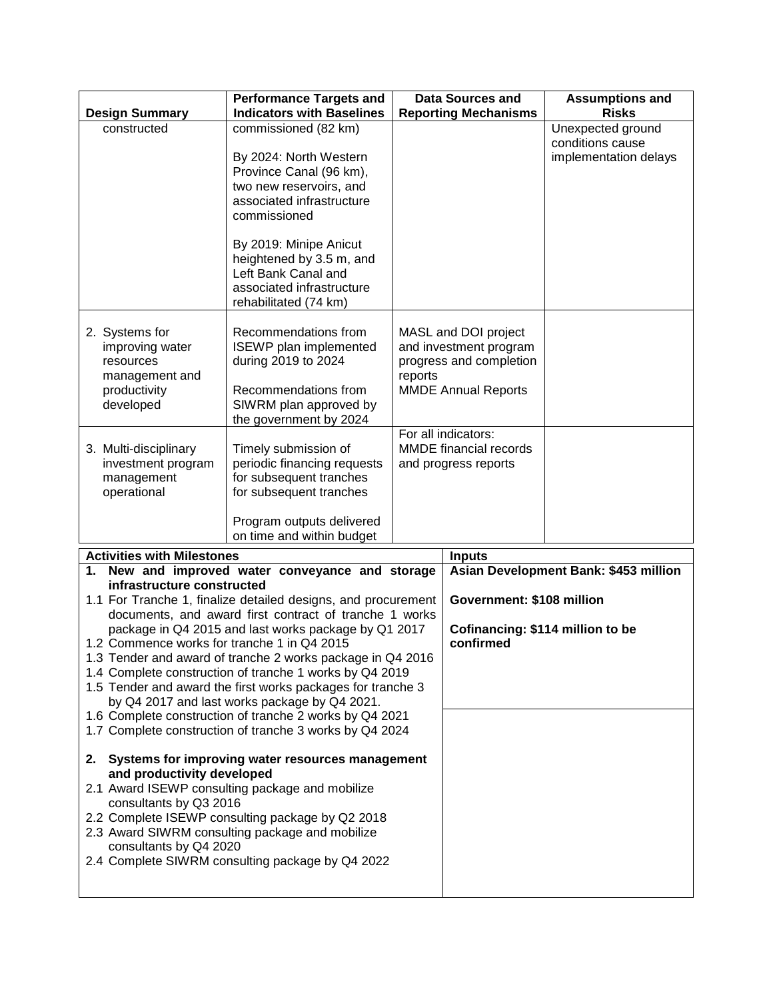| <b>Design Summary</b>                                                                                                                                                                                                                                                                                                                                                                                                                                              | <b>Performance Targets and</b><br><b>Indicators with Baselines</b>                                                                                                                                                                                                                   |         | <b>Data Sources and</b><br><b>Reporting Mechanisms</b>                                                                                                                                  | <b>Assumptions and</b><br><b>Risks</b>                         |
|--------------------------------------------------------------------------------------------------------------------------------------------------------------------------------------------------------------------------------------------------------------------------------------------------------------------------------------------------------------------------------------------------------------------------------------------------------------------|--------------------------------------------------------------------------------------------------------------------------------------------------------------------------------------------------------------------------------------------------------------------------------------|---------|-----------------------------------------------------------------------------------------------------------------------------------------------------------------------------------------|----------------------------------------------------------------|
| constructed                                                                                                                                                                                                                                                                                                                                                                                                                                                        | commissioned (82 km)<br>By 2024: North Western<br>Province Canal (96 km),<br>two new reservoirs, and<br>associated infrastructure<br>commissioned<br>By 2019: Minipe Anicut<br>heightened by 3.5 m, and<br>Left Bank Canal and<br>associated infrastructure<br>rehabilitated (74 km) |         |                                                                                                                                                                                         | Unexpected ground<br>conditions cause<br>implementation delays |
| 2. Systems for<br>improving water<br>resources<br>management and<br>productivity<br>developed<br>3. Multi-disciplinary<br>investment program                                                                                                                                                                                                                                                                                                                       | Recommendations from<br><b>ISEWP</b> plan implemented<br>during 2019 to 2024<br>Recommendations from<br>SIWRM plan approved by<br>the government by 2024<br>Timely submission of<br>periodic financing requests                                                                      | reports | MASL and DOI project<br>and investment program<br>progress and completion<br><b>MMDE Annual Reports</b><br>For all indicators:<br><b>MMDE</b> financial records<br>and progress reports |                                                                |
| management<br>operational                                                                                                                                                                                                                                                                                                                                                                                                                                          | for subsequent tranches<br>for subsequent tranches<br>Program outputs delivered<br>on time and within budget                                                                                                                                                                         |         |                                                                                                                                                                                         |                                                                |
| <b>Activities with Milestones</b>                                                                                                                                                                                                                                                                                                                                                                                                                                  |                                                                                                                                                                                                                                                                                      |         | <b>Inputs</b>                                                                                                                                                                           |                                                                |
| New and improved water conveyance and storage<br>1.                                                                                                                                                                                                                                                                                                                                                                                                                |                                                                                                                                                                                                                                                                                      |         |                                                                                                                                                                                         | Asian Development Bank: \$453 million                          |
| infrastructure constructed<br>1.1 For Tranche 1, finalize detailed designs, and procurement<br>documents, and award first contract of tranche 1 works                                                                                                                                                                                                                                                                                                              |                                                                                                                                                                                                                                                                                      |         | Government: \$108 million                                                                                                                                                               |                                                                |
| package in Q4 2015 and last works package by Q1 2017<br>1.2 Commence works for tranche 1 in Q4 2015<br>1.3 Tender and award of tranche 2 works package in Q4 2016<br>1.4 Complete construction of tranche 1 works by Q4 2019<br>1.5 Tender and award the first works packages for tranche 3<br>by Q4 2017 and last works package by Q4 2021.<br>1.6 Complete construction of tranche 2 works by Q4 2021<br>1.7 Complete construction of tranche 3 works by Q4 2024 |                                                                                                                                                                                                                                                                                      |         | Cofinancing: \$114 million to be<br>confirmed                                                                                                                                           |                                                                |
| Systems for improving water resources management<br>2.<br>and productivity developed<br>2.1 Award ISEWP consulting package and mobilize<br>consultants by Q3 2016<br>2.2 Complete ISEWP consulting package by Q2 2018<br>2.3 Award SIWRM consulting package and mobilize<br>consultants by Q4 2020<br>2.4 Complete SIWRM consulting package by Q4 2022                                                                                                             |                                                                                                                                                                                                                                                                                      |         |                                                                                                                                                                                         |                                                                |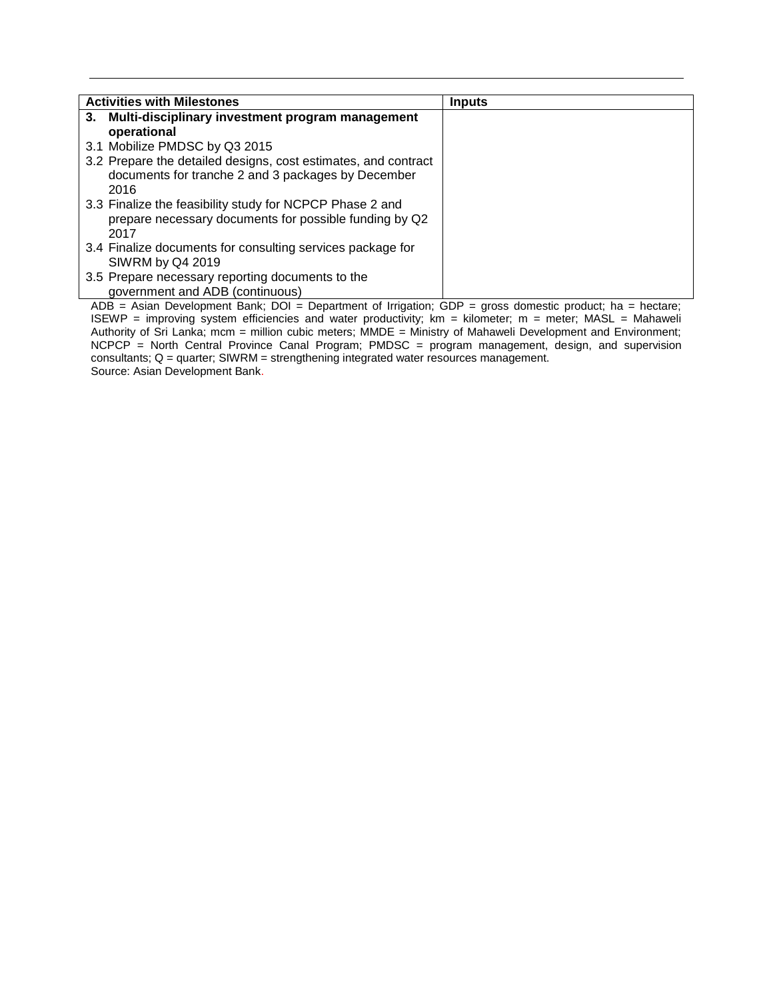| <b>Activities with Milestones</b>                              | <b>Inputs</b> |
|----------------------------------------------------------------|---------------|
| 3. Multi-disciplinary investment program management            |               |
| operational                                                    |               |
| 3.1 Mobilize PMDSC by Q3 2015                                  |               |
| 3.2 Prepare the detailed designs, cost estimates, and contract |               |
| documents for tranche 2 and 3 packages by December             |               |
| 2016                                                           |               |
| 3.3 Finalize the feasibility study for NCPCP Phase 2 and       |               |
| prepare necessary documents for possible funding by Q2         |               |
| 2017                                                           |               |
| 3.4 Finalize documents for consulting services package for     |               |
| SIWRM by Q4 2019                                               |               |
| 3.5 Prepare necessary reporting documents to the               |               |
| government and ADB (continuous)                                |               |

ADB = Asian Development Bank; DOI = Department of Irrigation; GDP = gross domestic product; ha = hectare; ISEWP = improving system efficiencies and water productivity; km = kilometer; m = meter; MASL = Mahaweli Authority of Sri Lanka; mcm = million cubic meters; MMDE = Ministry of Mahaweli Development and Environment; NCPCP = North Central Province Canal Program; PMDSC = program management, design, and supervision consultants; Q = quarter; SIWRM = strengthening integrated water resources management. Source: Asian Development Bank.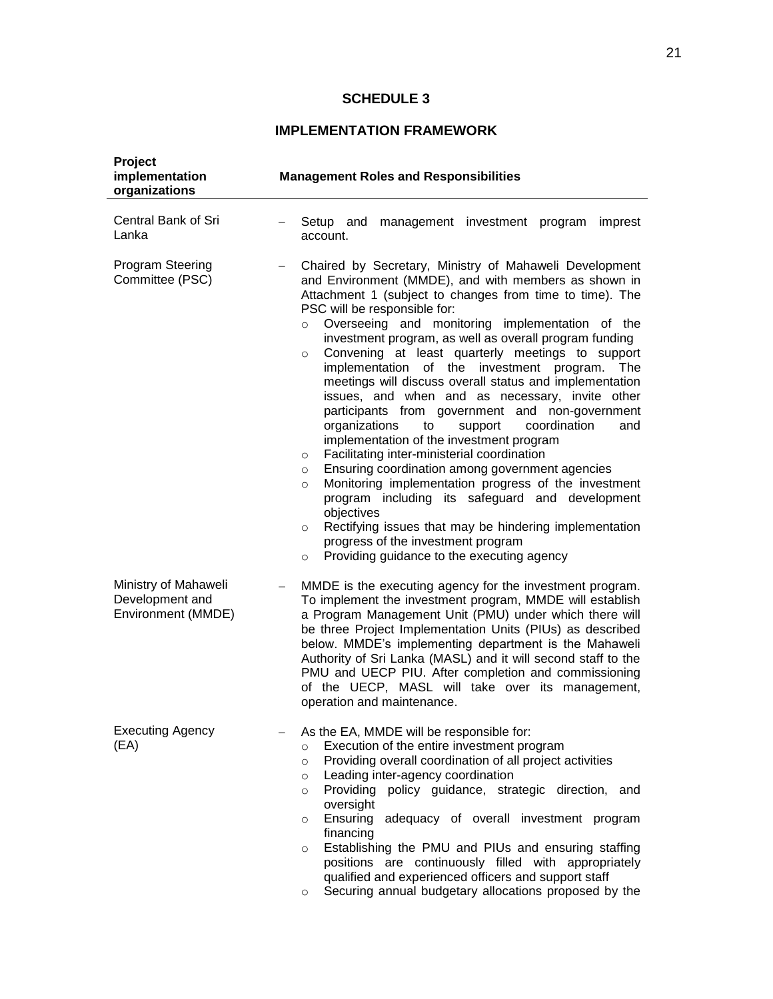## **SCHEDULE 3**

# **IMPLEMENTATION FRAMEWORK**

| Project<br>implementation<br>organizations                    | <b>Management Roles and Responsibilities</b>                                                                                                                                                                                                                                                                                                                                                                                                                                                                                                                                                                                                                                                                                                                                                                                                                                                                                                                                                                                                                                                                                                                   |
|---------------------------------------------------------------|----------------------------------------------------------------------------------------------------------------------------------------------------------------------------------------------------------------------------------------------------------------------------------------------------------------------------------------------------------------------------------------------------------------------------------------------------------------------------------------------------------------------------------------------------------------------------------------------------------------------------------------------------------------------------------------------------------------------------------------------------------------------------------------------------------------------------------------------------------------------------------------------------------------------------------------------------------------------------------------------------------------------------------------------------------------------------------------------------------------------------------------------------------------|
| Central Bank of Sri<br>Lanka                                  | Setup and<br>management investment program imprest<br>account.                                                                                                                                                                                                                                                                                                                                                                                                                                                                                                                                                                                                                                                                                                                                                                                                                                                                                                                                                                                                                                                                                                 |
| <b>Program Steering</b><br>Committee (PSC)                    | Chaired by Secretary, Ministry of Mahaweli Development<br>and Environment (MMDE), and with members as shown in<br>Attachment 1 (subject to changes from time to time). The<br>PSC will be responsible for:<br>Overseeing and monitoring implementation of the<br>$\circ$<br>investment program, as well as overall program funding<br>Convening at least quarterly meetings to support<br>$\circ$<br>implementation of the investment<br>program.<br>The<br>meetings will discuss overall status and implementation<br>issues, and when and as necessary, invite other<br>participants from government and non-government<br>coordination<br>organizations<br>to<br>support<br>and<br>implementation of the investment program<br>Facilitating inter-ministerial coordination<br>$\circ$<br>Ensuring coordination among government agencies<br>$\circ$<br>Monitoring implementation progress of the investment<br>$\circ$<br>program including its safeguard and development<br>objectives<br>Rectifying issues that may be hindering implementation<br>$\circ$<br>progress of the investment program<br>Providing guidance to the executing agency<br>$\circ$ |
| Ministry of Mahaweli<br>Development and<br>Environment (MMDE) | MMDE is the executing agency for the investment program.<br>$\overline{\phantom{0}}$<br>To implement the investment program, MMDE will establish<br>a Program Management Unit (PMU) under which there will<br>be three Project Implementation Units (PIUs) as described<br>below. MMDE's implementing department is the Mahaweli<br>Authority of Sri Lanka (MASL) and it will second staff to the<br>PMU and UECP PIU. After completion and commissioning<br>of the UECP, MASL will take over its management,<br>operation and maintenance.                                                                                                                                                                                                                                                                                                                                                                                                                                                                                                                                                                                                                    |
| <b>Executing Agency</b><br>(EA)                               | As the EA, MMDE will be responsible for:<br>Execution of the entire investment program<br>$\circ$<br>Providing overall coordination of all project activities<br>$\circ$<br>Leading inter-agency coordination<br>$\circ$<br>Providing policy guidance, strategic direction, and<br>$\circ$<br>oversight<br>Ensuring adequacy of overall investment program<br>$\circ$<br>financing<br>Establishing the PMU and PIUs and ensuring staffing<br>$\circ$<br>positions are continuously filled with appropriately<br>qualified and experienced officers and support staff<br>Securing annual budgetary allocations proposed by the<br>$\circ$                                                                                                                                                                                                                                                                                                                                                                                                                                                                                                                       |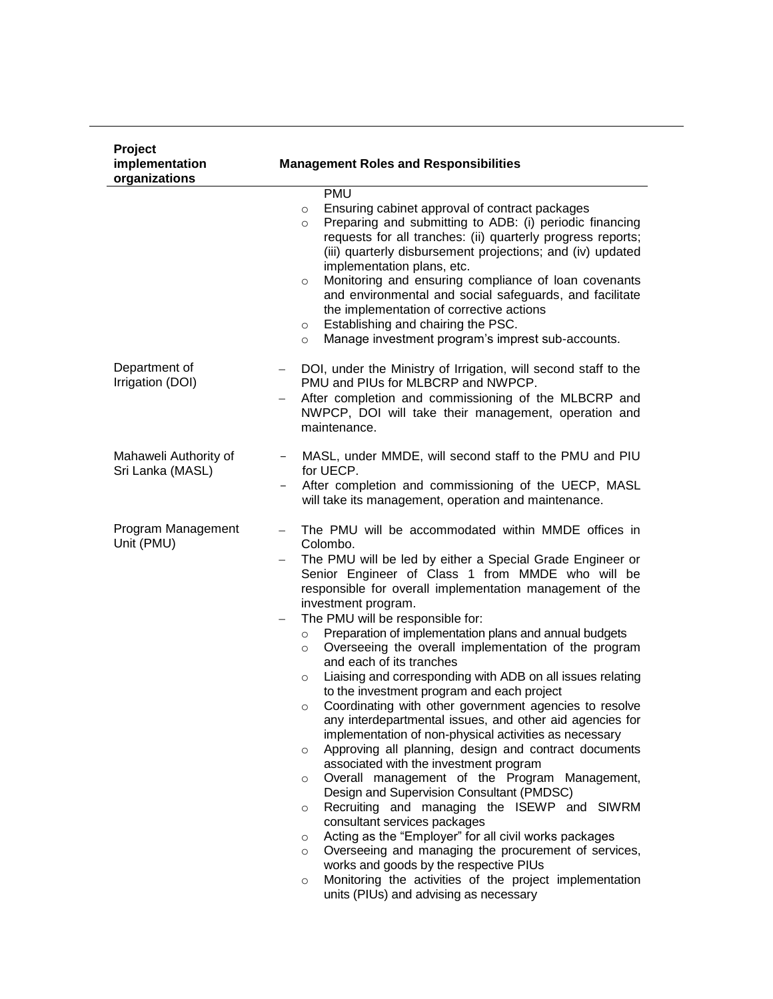| <b>Project</b><br>implementation<br>organizations | <b>Management Roles and Responsibilities</b>                                                                                                                                                                                                                                                                                                                                                                                                                                                                                                                                                                                                                                                                                                                                                                                                                                                                                                                                                                                                                                                                                                                                                                                                                                                                                                                                                                                   |
|---------------------------------------------------|--------------------------------------------------------------------------------------------------------------------------------------------------------------------------------------------------------------------------------------------------------------------------------------------------------------------------------------------------------------------------------------------------------------------------------------------------------------------------------------------------------------------------------------------------------------------------------------------------------------------------------------------------------------------------------------------------------------------------------------------------------------------------------------------------------------------------------------------------------------------------------------------------------------------------------------------------------------------------------------------------------------------------------------------------------------------------------------------------------------------------------------------------------------------------------------------------------------------------------------------------------------------------------------------------------------------------------------------------------------------------------------------------------------------------------|
|                                                   | <b>PMU</b><br>Ensuring cabinet approval of contract packages<br>$\circ$<br>Preparing and submitting to ADB: (i) periodic financing<br>$\circ$<br>requests for all tranches: (ii) quarterly progress reports;<br>(iii) quarterly disbursement projections; and (iv) updated<br>implementation plans, etc.<br>Monitoring and ensuring compliance of loan covenants<br>O<br>and environmental and social safeguards, and facilitate<br>the implementation of corrective actions<br>Establishing and chairing the PSC.<br>$\circ$<br>Manage investment program's imprest sub-accounts.<br>$\circ$                                                                                                                                                                                                                                                                                                                                                                                                                                                                                                                                                                                                                                                                                                                                                                                                                                  |
| Department of<br>Irrigation (DOI)                 | DOI, under the Ministry of Irrigation, will second staff to the<br>$-$<br>PMU and PIUs for MLBCRP and NWPCP.<br>After completion and commissioning of the MLBCRP and<br>$\overline{\phantom{0}}$<br>NWPCP, DOI will take their management, operation and<br>maintenance.                                                                                                                                                                                                                                                                                                                                                                                                                                                                                                                                                                                                                                                                                                                                                                                                                                                                                                                                                                                                                                                                                                                                                       |
| Mahaweli Authority of<br>Sri Lanka (MASL)         | MASL, under MMDE, will second staff to the PMU and PIU<br>$ -$<br>for UECP.<br>After completion and commissioning of the UECP, MASL<br>will take its management, operation and maintenance.                                                                                                                                                                                                                                                                                                                                                                                                                                                                                                                                                                                                                                                                                                                                                                                                                                                                                                                                                                                                                                                                                                                                                                                                                                    |
| Program Management<br>Unit (PMU)                  | The PMU will be accommodated within MMDE offices in<br>Colombo.<br>The PMU will be led by either a Special Grade Engineer or<br>Senior Engineer of Class 1 from MMDE who will be<br>responsible for overall implementation management of the<br>investment program.<br>The PMU will be responsible for:<br>$\qquad \qquad -$<br>Preparation of implementation plans and annual budgets<br>$\circ$<br>Overseeing the overall implementation of the program<br>$\circ$<br>and each of its tranches<br>Liaising and corresponding with ADB on all issues relating<br>$\circ$<br>to the investment program and each project<br>Coordinating with other government agencies to resolve<br>O<br>any interdepartmental issues, and other aid agencies for<br>implementation of non-physical activities as necessary<br>Approving all planning, design and contract documents<br>$\circ$<br>associated with the investment program<br>Overall management of the Program Management,<br>$\circ$<br>Design and Supervision Consultant (PMDSC)<br>Recruiting and managing the ISEWP and SIWRM<br>$\circ$<br>consultant services packages<br>Acting as the "Employer" for all civil works packages<br>$\circ$<br>Overseeing and managing the procurement of services,<br>$\circ$<br>works and goods by the respective PIUs<br>Monitoring the activities of the project implementation<br>$\circ$<br>units (PIUs) and advising as necessary |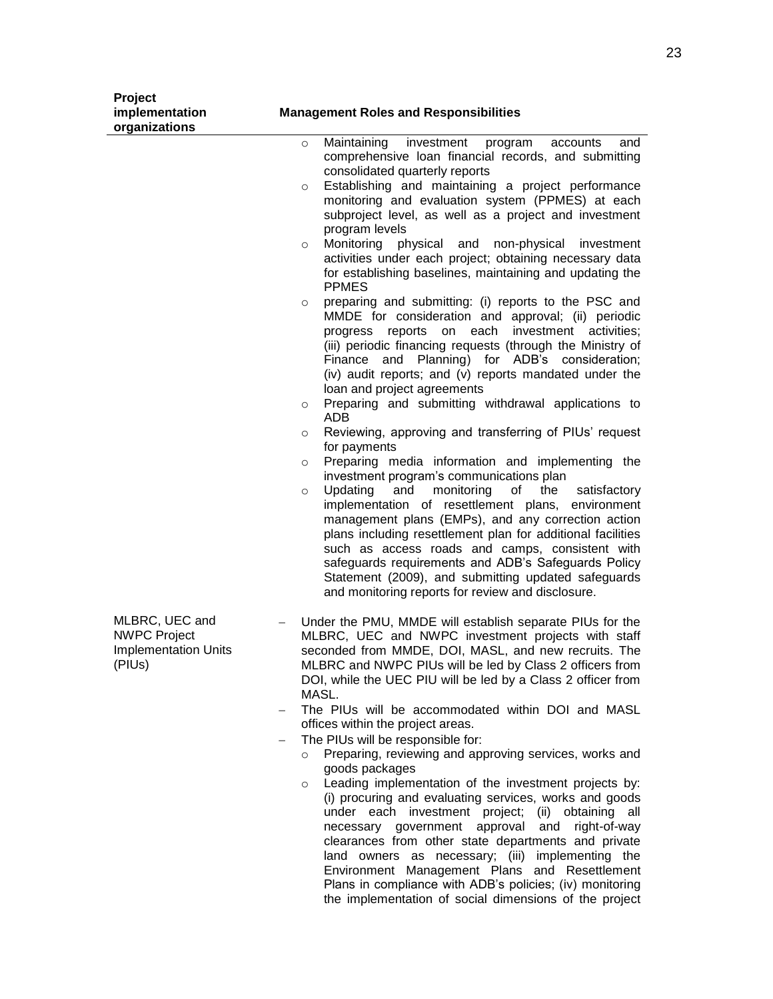| Project<br>implementation<br>organizations                                     | <b>Management Roles and Responsibilities</b>                                                                                                                                                                                                                                                                                                                                                                                                                                                                                                                                                                                                                                                                                                                                                                                                                                                                                                                                                                                                                                                                                                                                                                                                                                                                                                                                                                                                                                                                                                                                                                                                                                                                                   |
|--------------------------------------------------------------------------------|--------------------------------------------------------------------------------------------------------------------------------------------------------------------------------------------------------------------------------------------------------------------------------------------------------------------------------------------------------------------------------------------------------------------------------------------------------------------------------------------------------------------------------------------------------------------------------------------------------------------------------------------------------------------------------------------------------------------------------------------------------------------------------------------------------------------------------------------------------------------------------------------------------------------------------------------------------------------------------------------------------------------------------------------------------------------------------------------------------------------------------------------------------------------------------------------------------------------------------------------------------------------------------------------------------------------------------------------------------------------------------------------------------------------------------------------------------------------------------------------------------------------------------------------------------------------------------------------------------------------------------------------------------------------------------------------------------------------------------|
|                                                                                | Maintaining<br>investment<br>accounts<br>program<br>and<br>$\circ$<br>comprehensive loan financial records, and submitting<br>consolidated quarterly reports<br>Establishing and maintaining a project performance<br>$\circ$<br>monitoring and evaluation system (PPMES) at each<br>subproject level, as well as a project and investment<br>program levels<br>Monitoring<br>physical and non-physical<br>investment<br>$\circ$<br>activities under each project; obtaining necessary data<br>for establishing baselines, maintaining and updating the<br><b>PPMES</b><br>preparing and submitting: (i) reports to the PSC and<br>$\circ$<br>MMDE for consideration and approval; (ii) periodic<br>each<br>investment<br>progress reports<br>on<br>activities:<br>(iii) periodic financing requests (through the Ministry of<br>and Planning) for ADB's consideration;<br>Finance<br>(iv) audit reports; and (v) reports mandated under the<br>loan and project agreements<br>Preparing and submitting withdrawal applications to<br>$\circ$<br><b>ADB</b><br>Reviewing, approving and transferring of PIUs' request<br>O<br>for payments<br>Preparing media information and implementing the<br>$\circ$<br>investment program's communications plan<br>monitoring<br>Updating<br>and<br>of<br>the<br>satisfactory<br>$\circ$<br>implementation of resettlement plans, environment<br>management plans (EMPs), and any correction action<br>plans including resettlement plan for additional facilities<br>such as access roads and camps, consistent with<br>safeguards requirements and ADB's Safeguards Policy<br>Statement (2009), and submitting updated safeguards<br>and monitoring reports for review and disclosure. |
| MLBRC, UEC and<br><b>NWPC Project</b><br><b>Implementation Units</b><br>(PIUs) | Under the PMU, MMDE will establish separate PIUs for the<br>MLBRC, UEC and NWPC investment projects with staff<br>seconded from MMDE, DOI, MASL, and new recruits. The<br>MLBRC and NWPC PIUs will be led by Class 2 officers from<br>DOI, while the UEC PIU will be led by a Class 2 officer from<br>MASL.<br>The PIUs will be accommodated within DOI and MASL<br>offices within the project areas.<br>The PIUs will be responsible for:<br>$\overline{\phantom{0}}$<br>Preparing, reviewing and approving services, works and<br>$\circ$<br>goods packages<br>Leading implementation of the investment projects by:<br>$\circ$<br>(i) procuring and evaluating services, works and goods<br>under<br>each investment project;<br>(ii)<br>obtaining<br>all                                                                                                                                                                                                                                                                                                                                                                                                                                                                                                                                                                                                                                                                                                                                                                                                                                                                                                                                                                   |

necessary government approval and right-of-way clearances from other state departments and private land owners as necessary; (iii) implementing the Environment Management Plans and Resettlement Plans in compliance with ADB's policies; (iv) monitoring the implementation of social dimensions of the project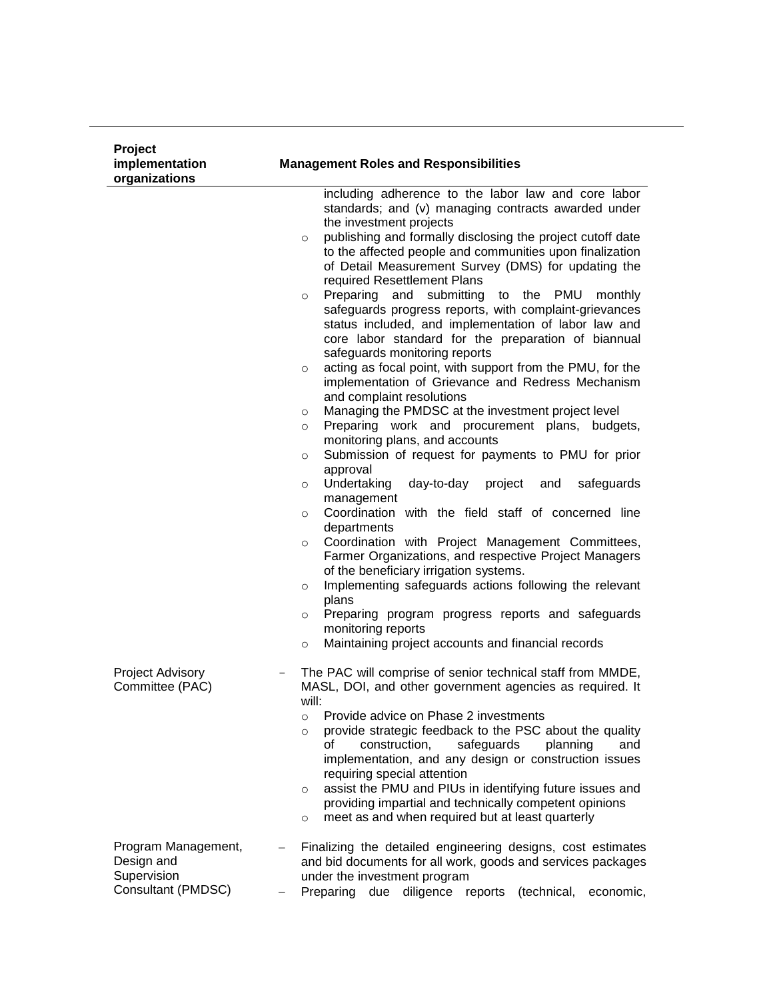| <b>Project</b><br>implementation<br>organizations                      | <b>Management Roles and Responsibilities</b>                                                                                                                                                                                                                                                                                                                                                                                                                                                                                                                                                                                                                                                                                                                                                                                                                                                                                                                                                                                                                                                                                                                                                                                                                                                                                                                                                                                                                                                                                                                                                                                  |
|------------------------------------------------------------------------|-------------------------------------------------------------------------------------------------------------------------------------------------------------------------------------------------------------------------------------------------------------------------------------------------------------------------------------------------------------------------------------------------------------------------------------------------------------------------------------------------------------------------------------------------------------------------------------------------------------------------------------------------------------------------------------------------------------------------------------------------------------------------------------------------------------------------------------------------------------------------------------------------------------------------------------------------------------------------------------------------------------------------------------------------------------------------------------------------------------------------------------------------------------------------------------------------------------------------------------------------------------------------------------------------------------------------------------------------------------------------------------------------------------------------------------------------------------------------------------------------------------------------------------------------------------------------------------------------------------------------------|
|                                                                        | including adherence to the labor law and core labor<br>standards; and (v) managing contracts awarded under<br>the investment projects<br>publishing and formally disclosing the project cutoff date<br>$\circ$<br>to the affected people and communities upon finalization<br>of Detail Measurement Survey (DMS) for updating the<br>required Resettlement Plans<br>Preparing and submitting to the PMU<br>monthly<br>$\circ$<br>safeguards progress reports, with complaint-grievances<br>status included, and implementation of labor law and<br>core labor standard for the preparation of biannual<br>safeguards monitoring reports<br>acting as focal point, with support from the PMU, for the<br>$\circ$<br>implementation of Grievance and Redress Mechanism<br>and complaint resolutions<br>Managing the PMDSC at the investment project level<br>$\circ$<br>Preparing work and procurement plans, budgets,<br>$\circ$<br>monitoring plans, and accounts<br>Submission of request for payments to PMU for prior<br>$\circ$<br>approval<br>Undertaking<br>day-to-day<br>project<br>and<br>safeguards<br>$\circ$<br>management<br>Coordination with the field staff of concerned line<br>$\circ$<br>departments<br>Coordination with Project Management Committees,<br>$\circ$<br>Farmer Organizations, and respective Project Managers<br>of the beneficiary irrigation systems.<br>Implementing safeguards actions following the relevant<br>$\circ$<br>plans<br>Preparing program progress reports and safeguards<br>$\circ$<br>monitoring reports<br>Maintaining project accounts and financial records<br>$\circ$ |
| Project Advisory<br>Committee (PAC)                                    | The PAC will comprise of senior technical staff from MMDE,<br>MASL, DOI, and other government agencies as required. It<br>will:<br>Provide advice on Phase 2 investments<br>$\circ$<br>provide strategic feedback to the PSC about the quality<br>$\circ$<br>construction,<br>safeguards<br>οf<br>planning<br>and<br>implementation, and any design or construction issues<br>requiring special attention<br>assist the PMU and PIUs in identifying future issues and<br>$\circ$<br>providing impartial and technically competent opinions<br>meet as and when required but at least quarterly<br>$\circ$                                                                                                                                                                                                                                                                                                                                                                                                                                                                                                                                                                                                                                                                                                                                                                                                                                                                                                                                                                                                                     |
| Program Management,<br>Design and<br>Supervision<br>Consultant (PMDSC) | Finalizing the detailed engineering designs, cost estimates<br>and bid documents for all work, goods and services packages<br>under the investment program<br>Preparing due diligence reports (technical,<br>economic,                                                                                                                                                                                                                                                                                                                                                                                                                                                                                                                                                                                                                                                                                                                                                                                                                                                                                                                                                                                                                                                                                                                                                                                                                                                                                                                                                                                                        |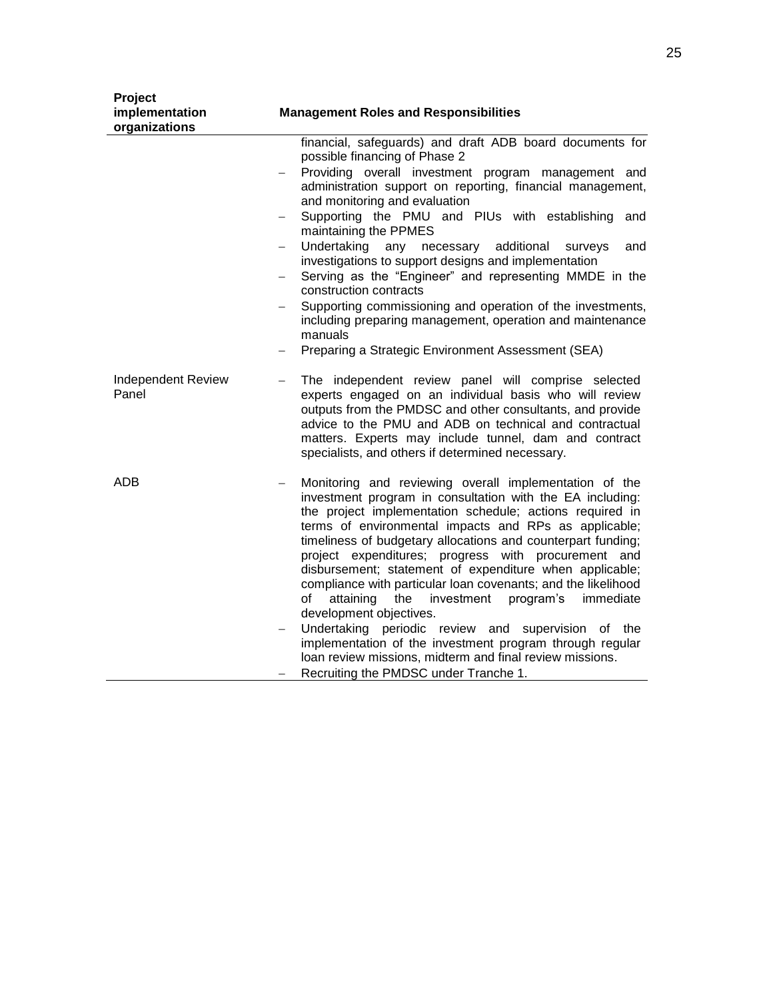| Project<br>implementation<br>organizations | <b>Management Roles and Responsibilities</b>                                                                                                                                                                                                                                                                                                                                                                                                                                                                                                                                                                                                                                                                                                                                                                    |
|--------------------------------------------|-----------------------------------------------------------------------------------------------------------------------------------------------------------------------------------------------------------------------------------------------------------------------------------------------------------------------------------------------------------------------------------------------------------------------------------------------------------------------------------------------------------------------------------------------------------------------------------------------------------------------------------------------------------------------------------------------------------------------------------------------------------------------------------------------------------------|
|                                            | financial, safeguards) and draft ADB board documents for<br>possible financing of Phase 2<br>Providing overall investment program management and<br>administration support on reporting, financial management,<br>and monitoring and evaluation<br>Supporting the PMU and PIUs with establishing<br>and<br>$\qquad \qquad -$<br>maintaining the PPMES<br>Undertaking<br>any<br>necessary<br>additional<br>surveys<br>and<br>investigations to support designs and implementation<br>Serving as the "Engineer" and representing MMDE in the<br>construction contracts<br>Supporting commissioning and operation of the investments,<br>including preparing management, operation and maintenance<br>manuals<br>Preparing a Strategic Environment Assessment (SEA)                                                |
| <b>Independent Review</b><br>Panel         | The independent review panel will comprise selected<br>$\overline{\phantom{0}}$<br>experts engaged on an individual basis who will review<br>outputs from the PMDSC and other consultants, and provide<br>advice to the PMU and ADB on technical and contractual<br>matters. Experts may include tunnel, dam and contract<br>specialists, and others if determined necessary.                                                                                                                                                                                                                                                                                                                                                                                                                                   |
| <b>ADB</b>                                 | Monitoring and reviewing overall implementation of the<br>investment program in consultation with the EA including:<br>the project implementation schedule; actions required in<br>terms of environmental impacts and RPs as applicable;<br>timeliness of budgetary allocations and counterpart funding;<br>project expenditures; progress with procurement and<br>disbursement; statement of expenditure when applicable;<br>compliance with particular loan covenants; and the likelihood<br>program's<br>of<br>attaining<br>the<br>investment<br>immediate<br>development objectives.<br>Undertaking periodic review and supervision of the<br>implementation of the investment program through regular<br>loan review missions, midterm and final review missions.<br>Recruiting the PMDSC under Tranche 1. |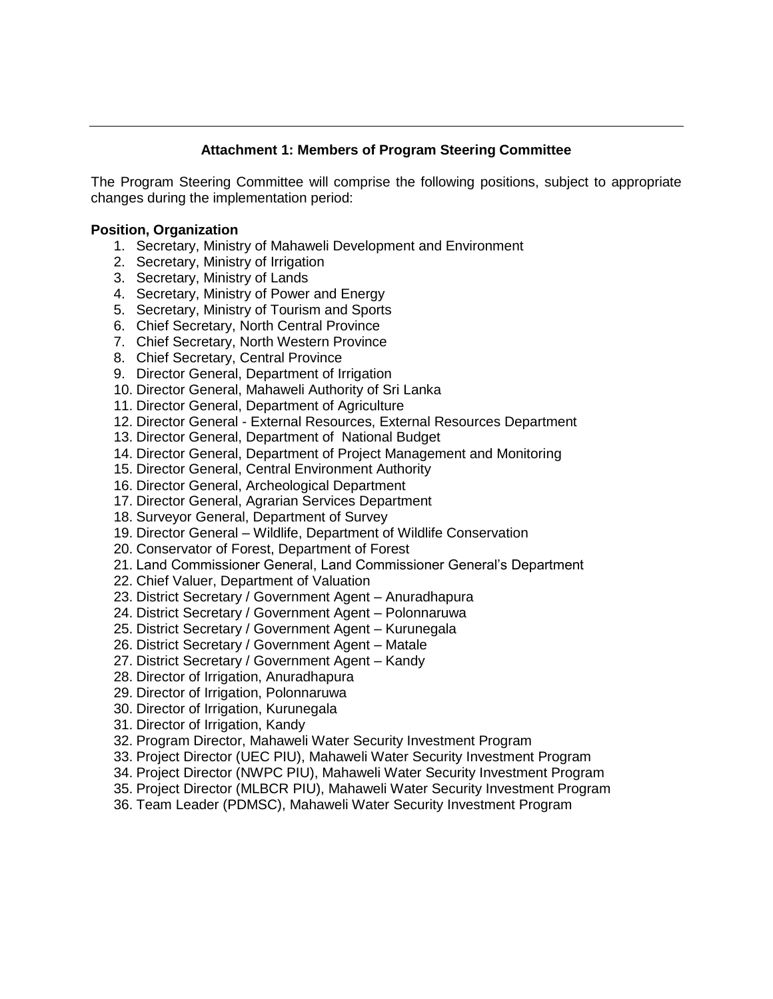### **Attachment 1: Members of Program Steering Committee**

The Program Steering Committee will comprise the following positions, subject to appropriate changes during the implementation period:

### **Position, Organization**

- 1. Secretary, Ministry of Mahaweli Development and Environment
- 2. Secretary, Ministry of Irrigation
- 3. Secretary, Ministry of Lands
- 4. Secretary, Ministry of Power and Energy
- 5. Secretary, Ministry of Tourism and Sports
- 6. Chief Secretary, North Central Province
- 7. Chief Secretary, North Western Province
- 8. Chief Secretary, Central Province
- 9. Director General, Department of Irrigation
- 10. Director General, Mahaweli Authority of Sri Lanka
- 11. Director General, Department of Agriculture
- 12. Director General External Resources, External Resources Department
- 13. Director General, Department of National Budget
- 14. Director General, Department of Project Management and Monitoring
- 15. Director General, Central Environment Authority
- 16. Director General, Archeological Department
- 17. Director General, Agrarian Services Department
- 18. Surveyor General, Department of Survey
- 19. Director General Wildlife, Department of Wildlife Conservation
- 20. Conservator of Forest, Department of Forest
- 21. Land Commissioner General, Land Commissioner General's Department
- 22. Chief Valuer, Department of Valuation
- 23. District Secretary / Government Agent Anuradhapura
- 24. District Secretary / Government Agent Polonnaruwa
- 25. District Secretary / Government Agent Kurunegala
- 26. District Secretary / Government Agent Matale
- 27. District Secretary / Government Agent Kandy
- 28. Director of Irrigation, Anuradhapura
- 29. Director of Irrigation, Polonnaruwa
- 30. Director of Irrigation, Kurunegala
- 31. Director of Irrigation, Kandy
- 32. Program Director, Mahaweli Water Security Investment Program
- 33. Project Director (UEC PIU), Mahaweli Water Security Investment Program
- 34. Project Director (NWPC PIU), Mahaweli Water Security Investment Program
- 35. Project Director (MLBCR PIU), Mahaweli Water Security Investment Program
- 36. Team Leader (PDMSC), Mahaweli Water Security Investment Program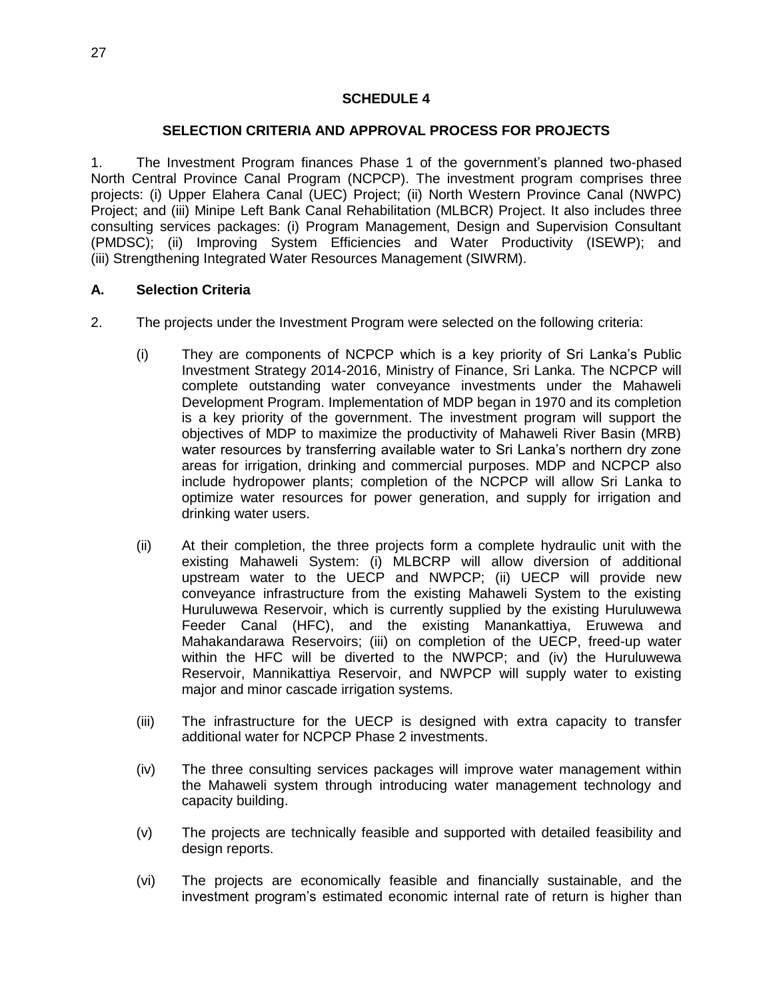### **SCHEDULE 4**

#### **SELECTION CRITERIA AND APPROVAL PROCESS FOR PROJECTS**

1. The Investment Program finances Phase 1 of the government's planned two-phased North Central Province Canal Program (NCPCP). The investment program comprises three projects: (i) Upper Elahera Canal (UEC) Project; (ii) North Western Province Canal (NWPC) Project; and (iii) Minipe Left Bank Canal Rehabilitation (MLBCR) Project. It also includes three consulting services packages: (i) Program Management, Design and Supervision Consultant (PMDSC); (ii) Improving System Efficiencies and Water Productivity (ISEWP); and (iii) Strengthening Integrated Water Resources Management (SIWRM).

#### **A. Selection Criteria**

- 2. The projects under the Investment Program were selected on the following criteria:
	- (i) They are components of NCPCP which is a key priority of Sri Lanka's Public Investment Strategy 2014-2016, Ministry of Finance, Sri Lanka. The NCPCP will complete outstanding water conveyance investments under the Mahaweli Development Program. Implementation of MDP began in 1970 and its completion is a key priority of the government. The investment program will support the objectives of MDP to maximize the productivity of Mahaweli River Basin (MRB) water resources by transferring available water to Sri Lanka's northern dry zone areas for irrigation, drinking and commercial purposes. MDP and NCPCP also include hydropower plants; completion of the NCPCP will allow Sri Lanka to optimize water resources for power generation, and supply for irrigation and drinking water users.
	- (ii) At their completion, the three projects form a complete hydraulic unit with the existing Mahaweli System: (i) MLBCRP will allow diversion of additional upstream water to the UECP and NWPCP; (ii) UECP will provide new conveyance infrastructure from the existing Mahaweli System to the existing Huruluwewa Reservoir, which is currently supplied by the existing Huruluwewa Feeder Canal (HFC), and the existing Manankattiya, Eruwewa and Mahakandarawa Reservoirs; (iii) on completion of the UECP, freed-up water within the HFC will be diverted to the NWPCP; and (iv) the Huruluwewa Reservoir, Mannikattiya Reservoir, and NWPCP will supply water to existing major and minor cascade irrigation systems.
	- (iii) The infrastructure for the UECP is designed with extra capacity to transfer additional water for NCPCP Phase 2 investments.
	- (iv) The three consulting services packages will improve water management within the Mahaweli system through introducing water management technology and capacity building.
	- (v) The projects are technically feasible and supported with detailed feasibility and design reports.
	- (vi) The projects are economically feasible and financially sustainable, and the investment program's estimated economic internal rate of return is higher than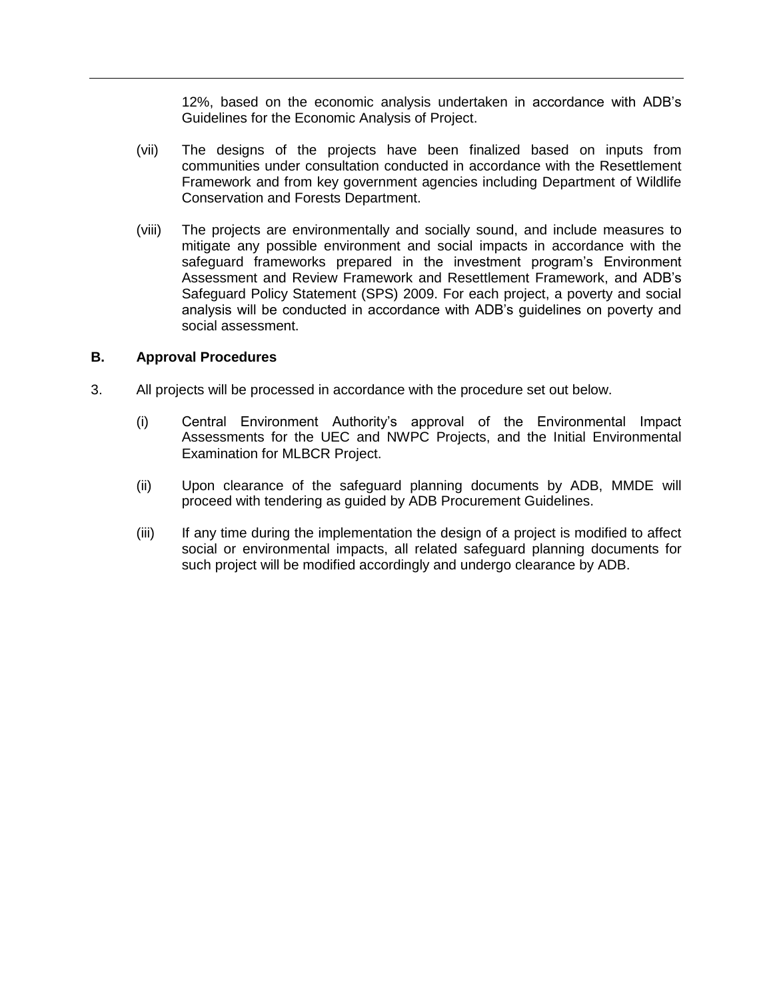12%, based on the economic analysis undertaken in accordance with ADB's Guidelines for the Economic Analysis of Project.

- (vii) The designs of the projects have been finalized based on inputs from communities under consultation conducted in accordance with the Resettlement Framework and from key government agencies including Department of Wildlife Conservation and Forests Department.
- (viii) The projects are environmentally and socially sound, and include measures to mitigate any possible environment and social impacts in accordance with the safeguard frameworks prepared in the investment program's Environment Assessment and Review Framework and Resettlement Framework, and ADB's Safeguard Policy Statement (SPS) 2009. For each project, a poverty and social analysis will be conducted in accordance with ADB's guidelines on poverty and social assessment.

#### **B. Approval Procedures**

- 3. All projects will be processed in accordance with the procedure set out below.
	- (i) Central Environment Authority's approval of the Environmental Impact Assessments for the UEC and NWPC Projects, and the Initial Environmental Examination for MLBCR Project.
	- (ii) Upon clearance of the safeguard planning documents by ADB, MMDE will proceed with tendering as guided by ADB Procurement Guidelines.
	- (iii) If any time during the implementation the design of a project is modified to affect social or environmental impacts, all related safeguard planning documents for such project will be modified accordingly and undergo clearance by ADB.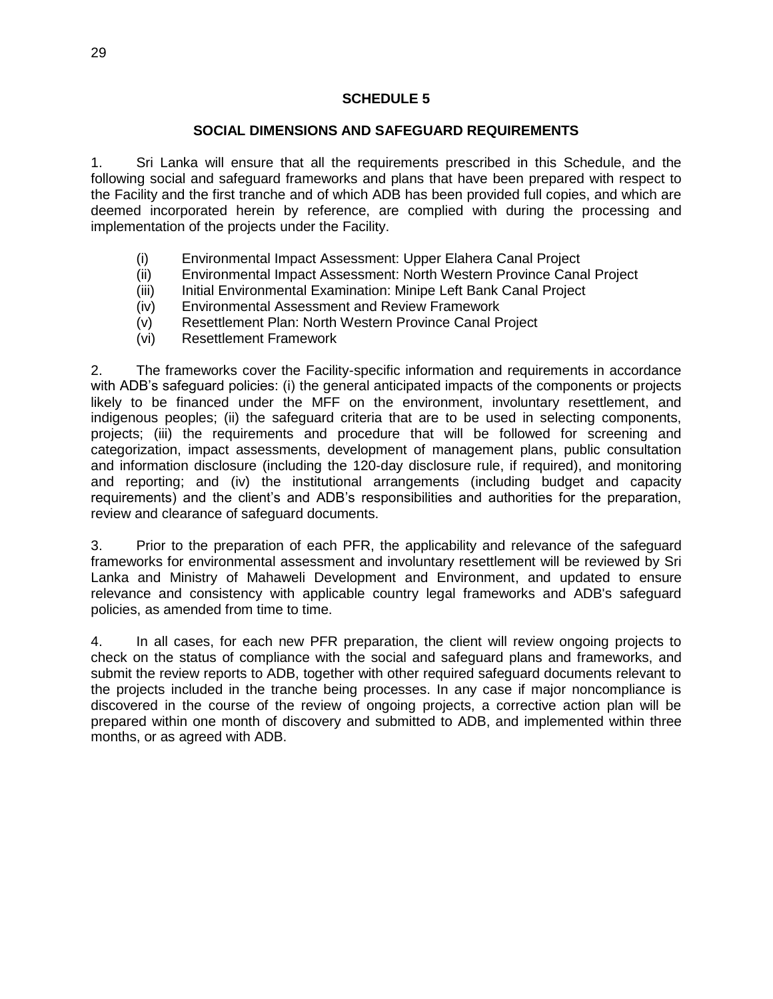### **SOCIAL DIMENSIONS AND SAFEGUARD REQUIREMENTS**

1. Sri Lanka will ensure that all the requirements prescribed in this Schedule, and the following social and safeguard frameworks and plans that have been prepared with respect to the Facility and the first tranche and of which ADB has been provided full copies, and which are deemed incorporated herein by reference, are complied with during the processing and implementation of the projects under the Facility.

- (i) Environmental Impact Assessment: Upper Elahera Canal Project
- (ii) Environmental Impact Assessment: North Western Province Canal Project
- (iii) Initial Environmental Examination: Minipe Left Bank Canal Project
- (iv) Environmental Assessment and Review Framework
- (v) Resettlement Plan: North Western Province Canal Project
- (vi) Resettlement Framework

2. The frameworks cover the Facility-specific information and requirements in accordance with ADB's safeguard policies: (i) the general anticipated impacts of the components or projects likely to be financed under the MFF on the environment, involuntary resettlement, and indigenous peoples; (ii) the safeguard criteria that are to be used in selecting components, projects; (iii) the requirements and procedure that will be followed for screening and categorization, impact assessments, development of management plans, public consultation and information disclosure (including the 120-day disclosure rule, if required), and monitoring and reporting; and (iv) the institutional arrangements (including budget and capacity requirements) and the client's and ADB's responsibilities and authorities for the preparation, review and clearance of safeguard documents.

3. Prior to the preparation of each PFR, the applicability and relevance of the safeguard frameworks for environmental assessment and involuntary resettlement will be reviewed by Sri Lanka and Ministry of Mahaweli Development and Environment, and updated to ensure relevance and consistency with applicable country legal frameworks and ADB's safeguard policies, as amended from time to time.

4. In all cases, for each new PFR preparation, the client will review ongoing projects to check on the status of compliance with the social and safeguard plans and frameworks, and submit the review reports to ADB, together with other required safeguard documents relevant to the projects included in the tranche being processes. In any case if major noncompliance is discovered in the course of the review of ongoing projects, a corrective action plan will be prepared within one month of discovery and submitted to ADB, and implemented within three months, or as agreed with ADB.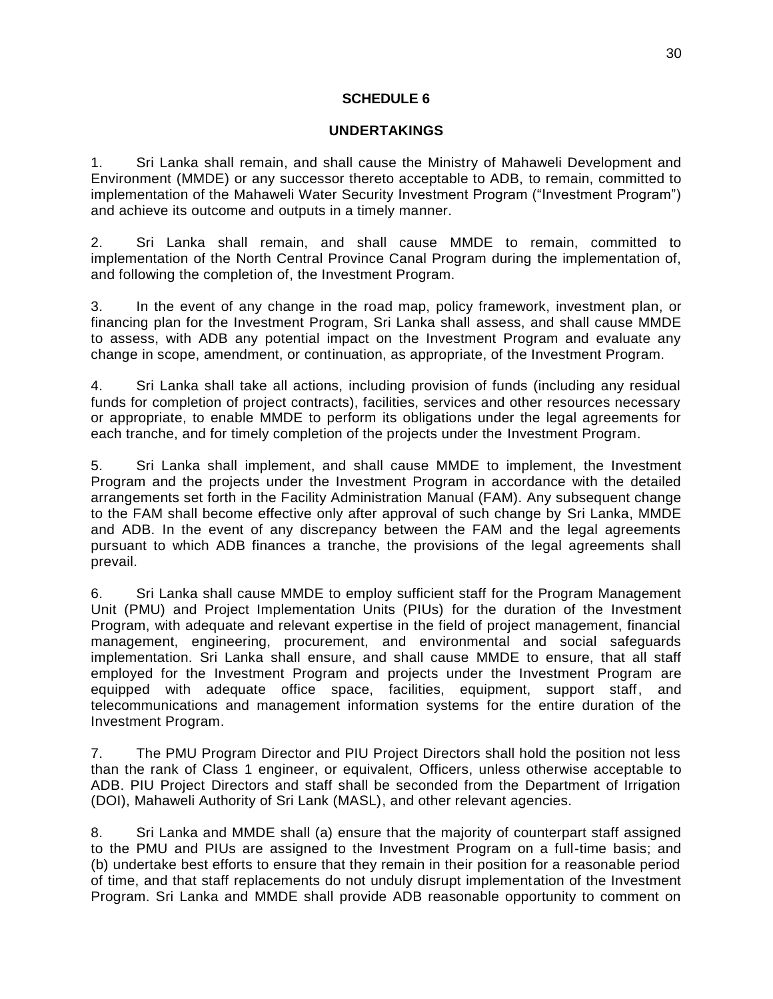### **SCHEDULE 6**

### **UNDERTAKINGS**

1. Sri Lanka shall remain, and shall cause the Ministry of Mahaweli Development and Environment (MMDE) or any successor thereto acceptable to ADB, to remain, committed to implementation of the Mahaweli Water Security Investment Program ("Investment Program") and achieve its outcome and outputs in a timely manner.

2. Sri Lanka shall remain, and shall cause MMDE to remain, committed to implementation of the North Central Province Canal Program during the implementation of, and following the completion of, the Investment Program.

3. In the event of any change in the road map, policy framework, investment plan, or financing plan for the Investment Program, Sri Lanka shall assess, and shall cause MMDE to assess, with ADB any potential impact on the Investment Program and evaluate any change in scope, amendment, or continuation, as appropriate, of the Investment Program.

4. Sri Lanka shall take all actions, including provision of funds (including any residual funds for completion of project contracts), facilities, services and other resources necessary or appropriate, to enable MMDE to perform its obligations under the legal agreements for each tranche, and for timely completion of the projects under the Investment Program.

5. Sri Lanka shall implement, and shall cause MMDE to implement, the Investment Program and the projects under the Investment Program in accordance with the detailed arrangements set forth in the Facility Administration Manual (FAM). Any subsequent change to the FAM shall become effective only after approval of such change by Sri Lanka, MMDE and ADB. In the event of any discrepancy between the FAM and the legal agreements pursuant to which ADB finances a tranche, the provisions of the legal agreements shall prevail.

6. Sri Lanka shall cause MMDE to employ sufficient staff for the Program Management Unit (PMU) and Project Implementation Units (PIUs) for the duration of the Investment Program, with adequate and relevant expertise in the field of project management, financial management, engineering, procurement, and environmental and social safeguards implementation. Sri Lanka shall ensure, and shall cause MMDE to ensure, that all staff employed for the Investment Program and projects under the Investment Program are equipped with adequate office space, facilities, equipment, support staff, and telecommunications and management information systems for the entire duration of the Investment Program.

7. The PMU Program Director and PIU Project Directors shall hold the position not less than the rank of Class 1 engineer, or equivalent, Officers, unless otherwise acceptable to ADB. PIU Project Directors and staff shall be seconded from the Department of Irrigation (DOI), Mahaweli Authority of Sri Lank (MASL), and other relevant agencies.

8. Sri Lanka and MMDE shall (a) ensure that the majority of counterpart staff assigned to the PMU and PIUs are assigned to the Investment Program on a full-time basis; and (b) undertake best efforts to ensure that they remain in their position for a reasonable period of time, and that staff replacements do not unduly disrupt implementation of the Investment Program. Sri Lanka and MMDE shall provide ADB reasonable opportunity to comment on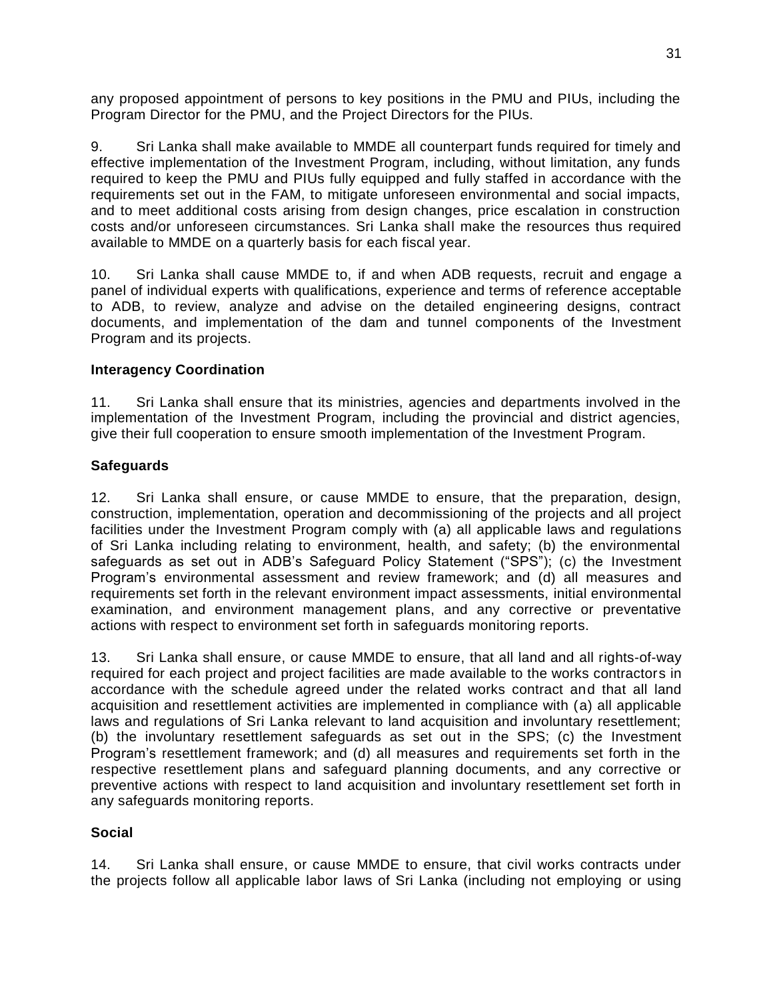any proposed appointment of persons to key positions in the PMU and PIUs, including the Program Director for the PMU, and the Project Directors for the PIUs.

9. Sri Lanka shall make available to MMDE all counterpart funds required for timely and effective implementation of the Investment Program, including, without limitation, any funds required to keep the PMU and PIUs fully equipped and fully staffed in accordance with the requirements set out in the FAM, to mitigate unforeseen environmental and social impacts, and to meet additional costs arising from design changes, price escalation in construction costs and/or unforeseen circumstances. Sri Lanka shall make the resources thus required available to MMDE on a quarterly basis for each fiscal year.

10. Sri Lanka shall cause MMDE to, if and when ADB requests, recruit and engage a panel of individual experts with qualifications, experience and terms of reference acceptable to ADB, to review, analyze and advise on the detailed engineering designs, contract documents, and implementation of the dam and tunnel components of the Investment Program and its projects.

### **Interagency Coordination**

11. Sri Lanka shall ensure that its ministries, agencies and departments involved in the implementation of the Investment Program, including the provincial and district agencies, give their full cooperation to ensure smooth implementation of the Investment Program.

### **Safeguards**

12. Sri Lanka shall ensure, or cause MMDE to ensure, that the preparation, design, construction, implementation, operation and decommissioning of the projects and all project facilities under the Investment Program comply with (a) all applicable laws and regulations of Sri Lanka including relating to environment, health, and safety; (b) the environmental safeguards as set out in ADB's Safeguard Policy Statement ("SPS"); (c) the Investment Program's environmental assessment and review framework; and (d) all measures and requirements set forth in the relevant environment impact assessments, initial environmental examination, and environment management plans, and any corrective or preventative actions with respect to environment set forth in safeguards monitoring reports.

13. Sri Lanka shall ensure, or cause MMDE to ensure, that all land and all rights-of-way required for each project and project facilities are made available to the works contractors in accordance with the schedule agreed under the related works contract and that all land acquisition and resettlement activities are implemented in compliance with (a) all applicable laws and regulations of Sri Lanka relevant to land acquisition and involuntary resettlement; (b) the involuntary resettlement safeguards as set out in the SPS; (c) the Investment Program's resettlement framework; and (d) all measures and requirements set forth in the respective resettlement plans and safeguard planning documents, and any corrective or preventive actions with respect to land acquisition and involuntary resettlement set forth in any safeguards monitoring reports.

## **Social**

14. Sri Lanka shall ensure, or cause MMDE to ensure, that civil works contracts under the projects follow all applicable labor laws of Sri Lanka (including not employing or using